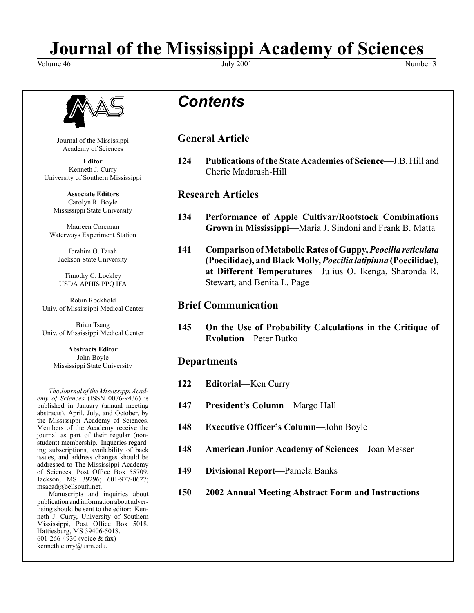# **Journal of the Mississippi Academy of Sciences**

Volume 46 Number 3 Number 3 Number 3 Number 3 Number 3 Number 3 Number 3 Number 3



Journal of the Mississippi Academy of Sciences

**Editor** Kenneth J. Curry University of Southern Mississippi

**Associate Editors** Carolyn R. Boyle Mississippi State University

Maureen Corcoran Waterways Experiment Station

Ibrahim O. Farah Jackson State University

Timothy C. Lockley USDA APHIS PPQ IFA

Robin Rockhold Univ. of Mississippi Medical Center

Brian Tsang Univ. of Mississippi Medical Center

> **Abstracts Editor** John Boyle Mississippi State University

*The Journal of the Mississippi Academy of Sciences* (ISSN 0076-9436) is published in January (annual meeting abstracts), April, July, and October, by the Mississippi Academy of Sciences. Members of the Academy receive the journal as part of their regular (nonstudent) membership. Inqueries regarding subscriptions, availability of back issues, and address changes should be addressed to The Mississippi Academy of Sciences, Post Office Box 55709, Jackson, MS 39296; 601-977-0627; msacad@bellsouth.net.

Manuscripts and inquiries about publication and information about advertising should be sent to the editor: Kenneth J. Curry, University of Southern Mississippi, Post Office Box 5018, Hattiesburg, MS 39406-5018. 601-266-4930 (voice & fax) kenneth.curry@usm.edu.

## *Contents*

### **General Article**

**124 Publications of the State Academies of Science**—J.B. Hill and Cherie Madarash-Hill

### **Research Articles**

- **134 Performance of Apple Cultivar/Rootstock Combinations Grown in Mississippi**—Maria J. Sindoni and Frank B. Matta
- **141 Comparison of Metabolic Rates of Guppy,** *Peocilia reticulata* **(Poecilidae), and Black Molly,** *Poecilia latipinna* **(Poecilidae), at Different Temperatures**—Julius O. Ikenga, Sharonda R. Stewart, and Benita L. Page

### **Brief Communication**

**145 On the Use of Probability Calculations in the Critique of Evolution**—Peter Butko

### **Departments**

- **122 Editorial**—Ken Curry
- **147 President's Column**—Margo Hall
- **148 Executive Officer's Column**—John Boyle
- **148 American Junior Academy of Sciences**—Joan Messer
- **149 Divisional Report**—Pamela Banks
- **150 2002 Annual Meeting Abstract Form and Instructions**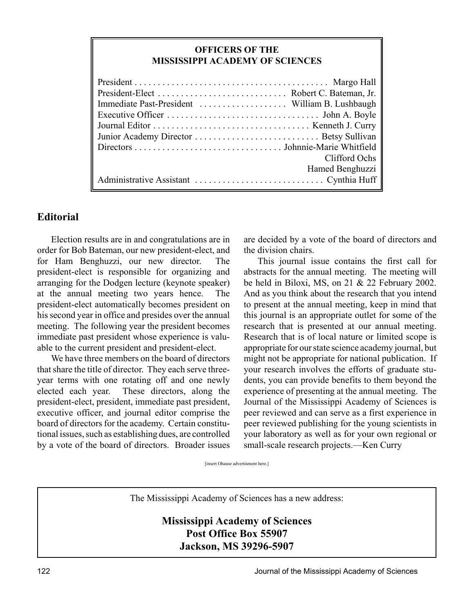### **OFFICERS OF THE MISSISSIPPI ACADEMY OF SCIENCES**

| Clifford Ochs   |
|-----------------|
| Hamed Benghuzzi |
|                 |

### **Editorial**

Election results are in and congratulations are in order for Bob Bateman, our new president-elect, and for Ham Benghuzzi, our new director. The president-elect is responsible for organizing and arranging for the Dodgen lecture (keynote speaker) at the annual meeting two years hence. The president-elect automatically becomes president on his second year in office and presides over the annual meeting. The following year the president becomes immediate past president whose experience is valuable to the current president and president-elect.

We have three members on the board of directors that share the title of director. They each serve threeyear terms with one rotating off and one newly elected each year. These directors, along the president-elect, president, immediate past president, executive officer, and journal editor comprise the board of directors for the academy. Certain constitutional issues, such as establishing dues, are controlled by a vote of the board of directors. Broader issues are decided by a vote of the board of directors and the division chairs.

This journal issue contains the first call for abstracts for the annual meeting. The meeting will be held in Biloxi, MS, on 21 & 22 February 2002. And as you think about the research that you intend to present at the annual meeting, keep in mind that this journal is an appropriate outlet for some of the research that is presented at our annual meeting. Research that is of local nature or limited scope is appropriate for our state science academy journal, but might not be appropriate for national publication. If your research involves the efforts of graduate students, you can provide benefits to them beyond the experience of presenting at the annual meeting. The Journal of the Mississippi Academy of Sciences is peer reviewed and can serve as a first experience in peer reviewed publishing for the young scientists in your laboratory as well as for your own regional or small-scale research projects.—Ken Curry

[insert Ohause advertisment here.]

The Mississippi Academy of Sciences has a new address:

**Mississippi Academy of Sciences Post Office Box 55907 Jackson, MS 39296-5907**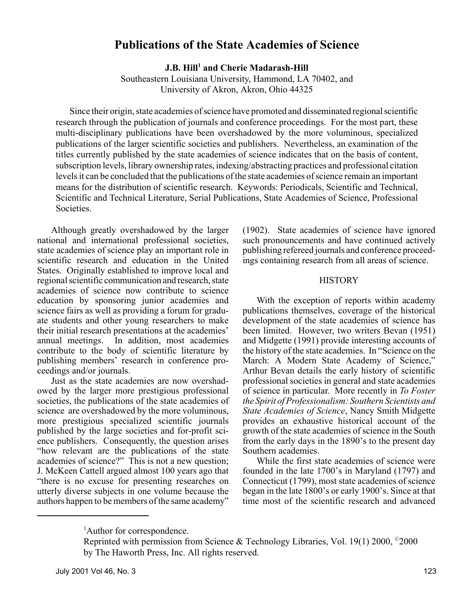### **Publications of the State Academies of Science**

 $J.B. Hill<sup>1</sup>$  and Cherie Madarash-Hill

Southeastern Louisiana University, Hammond, LA 70402, and University of Akron, Akron, Ohio 44325

Since their origin, state academies of science have promoted and disseminated regional scientific research through the publication of journals and conference proceedings. For the most part, these multi-disciplinary publications have been overshadowed by the more voluminous, specialized publications of the larger scientific societies and publishers. Nevertheless, an examination of the titles currently published by the state academies of science indicates that on the basis of content, subscription levels, library ownership rates, indexing/abstracting practices and professional citation levels it can be concluded that the publications of the state academies of science remain an important means for the distribution of scientific research. Keywords: Periodicals, Scientific and Technical, Scientific and Technical Literature, Serial Publications, State Academies of Science, Professional Societies.

Although greatly overshadowed by the larger national and international professional societies, state academies of science play an important role in scientific research and education in the United States. Originally established to improve local and regional scientific communication and research, state academies of science now contribute to science education by sponsoring junior academies and science fairs as well as providing a forum for graduate students and other young researchers to make their initial research presentations at the academies' annual meetings. In addition, most academies contribute to the body of scientific literature by publishing members' research in conference proceedings and/or journals.

Just as the state academies are now overshadowed by the larger more prestigious professional societies, the publications of the state academies of science are overshadowed by the more voluminous, more prestigious specialized scientific journals published by the large societies and for-profit science publishers. Consequently, the question arises "how relevant are the publications of the state academies of science?" This is not a new question; J. McKeen Cattell argued almost 100 years ago that "there is no excuse for presenting researches on utterly diverse subjects in one volume because the authors happen to be members of the same academy" (1902). State academies of science have ignored such pronouncements and have continued actively publishing refereed journals and conference proceedings containing research from all areas of science.

#### **HISTORY**

With the exception of reports within academy publications themselves, coverage of the historical development of the state academies of science has been limited. However, two writers Bevan (1951) and Midgette (1991) provide interesting accounts of the history of the state academies. In "Science on the March: A Modern State Academy of Science," Arthur Bevan details the early history of scientific professional societies in general and state academies of science in particular. More recently in *To Foster the Spirit of Professionalism: Southern Scientists and State Academies of Science*, Nancy Smith Midgette provides an exhaustive historical account of the growth of the state academies of science in the South from the early days in the 1890's to the present day Southern academies.

While the first state academies of science were founded in the late 1700's in Maryland (1797) and Connecticut (1799), most state academies of science began in the late 1800's or early 1900's. Since at that time most of the scientific research and advanced

<sup>&</sup>lt;sup>1</sup>Author for correspondence.

Reprinted with permission from Science & Technology Libraries, Vol. 19(1) 2000, ©2000 by The Haworth Press, Inc. All rights reserved.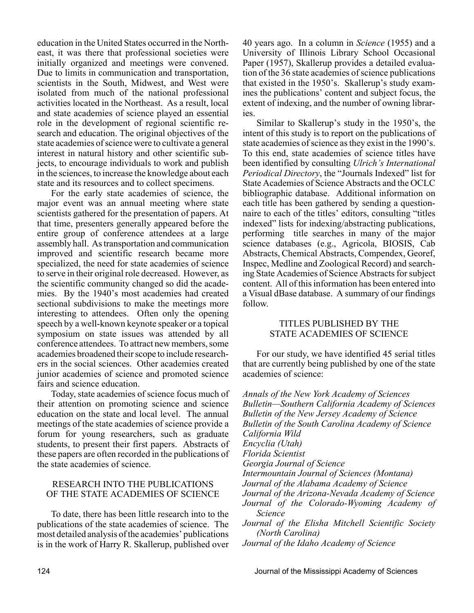education in the United States occurred in the Northeast, it was there that professional societies were initially organized and meetings were convened. Due to limits in communication and transportation, scientists in the South, Midwest, and West were isolated from much of the national professional activities located in the Northeast. As a result, local and state academies of science played an essential role in the development of regional scientific research and education. The original objectives of the state academies of science were to cultivate a general interest in natural history and other scientific subjects, to encourage individuals to work and publish in the sciences, to increase the knowledge about each state and its resources and to collect specimens.

For the early state academies of science, the major event was an annual meeting where state scientists gathered for the presentation of papers. At that time, presenters generally appeared before the entire group of conference attendees at a large assembly hall. As transportation and communication improved and scientific research became more specialized, the need for state academies of science to serve in their original role decreased. However, as the scientific community changed so did the academies. By the 1940's most academies had created sectional subdivisions to make the meetings more interesting to attendees. Often only the opening speech by a well-known keynote speaker or a topical symposium on state issues was attended by all conference attendees. To attract new members, some academies broadened their scope to include researchers in the social sciences. Other academies created junior academies of science and promoted science fairs and science education.

Today, state academies of science focus much of their attention on promoting science and science education on the state and local level. The annual meetings of the state academies of science provide a forum for young researchers, such as graduate students, to present their first papers. Abstracts of these papers are often recorded in the publications of the state academies of science.

#### RESEARCH INTO THE PUBLICATIONS OF THE STATE ACADEMIES OF SCIENCE

To date, there has been little research into to the publications of the state academies of science. The most detailed analysis of the academies' publications is in the work of Harry R. Skallerup, published over 40 years ago. In a column in *Science* (1955) and a University of Illinois Library School Occasional Paper (1957), Skallerup provides a detailed evaluation of the 36 state academies of science publications that existed in the 1950's. Skallerup's study examines the publications' content and subject focus, the extent of indexing, and the number of owning libraries.

Similar to Skallerup's study in the 1950's, the intent of this study is to report on the publications of state academies of science as they exist in the 1990's. To this end, state academies of science titles have been identified by consulting *Ulrich's International Periodical Directory*, the "Journals Indexed" list for State Academies of Science Abstracts and the OCLC bibliographic database. Additional information on each title has been gathered by sending a questionnaire to each of the titles' editors, consulting "titles indexed" lists for indexing/abstracting publications, performing title searches in many of the major science databases (e.g., Agricola, BIOSIS, Cab Abstracts, Chemical Abstracts, Compendex, Georef, Inspec, Medline and Zoological Record) and searching State Academies of Science Abstracts for subject content. All of this information has been entered into a Visual dBase database. A summary of our findings follow.

#### TITLES PUBLISHED BY THE STATE ACADEMIES OF SCIENCE

For our study, we have identified 45 serial titles that are currently being published by one of the state academies of science:

*Annals of the New York Academy of Sciences Bulletin—Southern California Academy of Sciences Bulletin of the New Jersey Academy of Science Bulletin of the South Carolina Academy of Science California Wild Encyclia (Utah) Florida Scientist Georgia Journal of Science Intermountain Journal of Sciences (Montana) Journal of the Alabama Academy of Science Journal of the Arizona-Nevada Academy of Science Journal of the Colorado-Wyoming Academy of Science Journal of the Elisha Mitchell Scientific Society (North Carolina) Journal of the Idaho Academy of Science*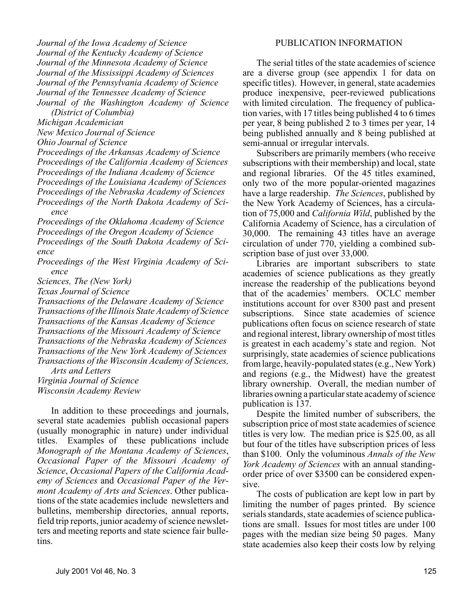*Journal of the Iowa Academy of Science Journal of the Kentucky Academy of Science Journal of the Minnesota Academy of Science Journal of the Mississippi Academy of Sciences Journal of the Pennsylvania Academy of Science Journal of the Tennessee Academy of Science Journal of the Washington Academy of Science*

*(District of Columbia)*

*Michigan Academician*

*New Mexico Journal of Science*

*Ohio Journal of Science*

*Proceedings of the Arkansas Academy of Science Proceedings of the California Academy of Sciences Proceedings of the Indiana Academy of Science Proceedings of the Louisiana Academy of Sciences Proceedings of the Nebraska Academy of Sciences Proceedings of the North Dakota Academy of Science*

*Proceedings of the Oklahoma Academy of Science Proceedings of the Oregon Academy of Science Proceedings of the South Dakota Academy of Science*

*Proceedings of the West Virginia Academy of Science*

*Sciences, The (New York)*

*Texas Journal of Science*

*Transactions of the Delaware Academy of Science Transactions of the Illinois State Academy of Science Transactions of the Kansas Academy of Science Transactions of the Missouri Academy of Science Transactions of the Nebraska Academy of Sciences Transactions of the New York Academy of Sciences Transactions of the Wisconsin Academy of Sciences,*

*Arts and Letters Virginia Journal of Science*

*Wisconsin Academy Review*

In addition to these proceedings and journals, several state academies publish occasional papers (usually monographic in nature) under individual titles. Examples of these publications include *Monograph of the Montana Academy of Sciences*, *Occasional Paper of the Missouri Academy of Science*, *Occasional Papers of the California Academy of Sciences* and *Occasional Paper of the Vermont Academy of Arts and Sciences*. Other publications of the state academies include newsletters and bulletins, membership directories, annual reports, field trip reports, junior academy of science newsletters and meeting reports and state science fair bulletins.

#### PUBLICATION INFORMATION

The serial titles of the state academies of science are a diverse group (see appendix 1 for data on specific titles). However, in general, state academies produce inexpensive, peer-reviewed publications with limited circulation. The frequency of publication varies, with 17 titles being published 4 to 6 times per year, 8 being published 2 to 3 times per year, 14 being published annually and 8 being published at semi-annual or irregular intervals.

Subscribers are primarily members (who receive subscriptions with their membership) and local, state and regional libraries. Of the 45 titles examined, only two of the more popular-oriented magazines have a large readership. *The Sciences*, published by the New York Academy of Sciences, has a circulation of 75,000 and *California Wild*, published by the California Academy of Science, has a circulation of 30,000. The remaining 43 titles have an average circulation of under 770, yielding a combined subscription base of just over 33,000.

Libraries are important subscribers to state academies of science publications as they greatly increase the readership of the publications beyond that of the academies' members. OCLC member institutions account for over 8300 past and present subscriptions. Since state academies of science publications often focus on science research of state and regional interest, library ownership of most titles is greatest in each academy's state and region. Not surprisingly, state academies of science publications from large, heavily-populated states (e.g., New York) and regions (e.g., the Midwest) have the greatest library ownership. Overall, the median number of libraries owning a particular state academy of science publication is 137.

Despite the limited number of subscribers, the subscription price of most state academies of science titles is very low. The median price is \$25.00, as all but four of the titles have subscription prices of less than \$100. Only the voluminous *Annals of the New York Academy of Sciences* with an annual standingorder price of over \$3500 can be considered expensive.

The costs of publication are kept low in part by limiting the number of pages printed. By science serials standards, state academies of science publications are small. Issues for most titles are under 100 pages with the median size being 50 pages. Many state academies also keep their costs low by relying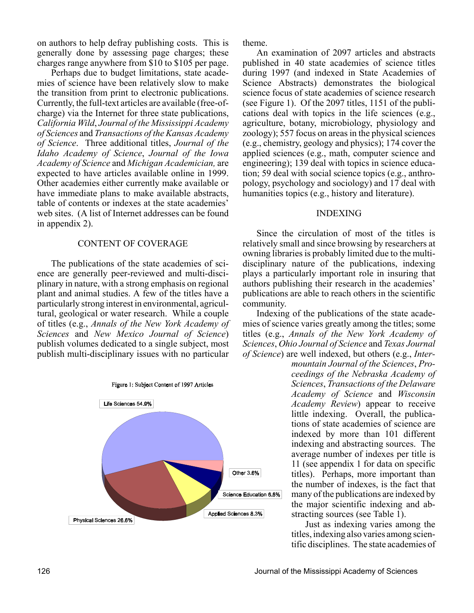on authors to help defray publishing costs. This is generally done by assessing page charges; these charges range anywhere from \$10 to \$105 per page.

Perhaps due to budget limitations, state academies of science have been relatively slow to make the transition from print to electronic publications. Currently, the full-text articles are available (free-ofcharge) via the Internet for three state publications, *California Wild*, *Journal of the Mississippi Academy of Sciences* and *Transactions of the Kansas Academy of Science*. Three additional titles, *Journal of the Idaho Academy of Science*, *Journal of the Iowa Academy of Science* and *Michigan Academician,* are expected to have articles available online in 1999. Other academies either currently make available or have immediate plans to make available abstracts, table of contents or indexes at the state academies' web sites. (A list of Internet addresses can be found in appendix 2).

#### CONTENT OF COVERAGE

The publications of the state academies of science are generally peer-reviewed and multi-disciplinary in nature, with a strong emphasis on regional plant and animal studies. A few of the titles have a particularly strong interest in environmental, agricultural, geological or water research. While a couple of titles (e.g., *Annals of the New York Academy of Sciences* and *New Mexico Journal of Science*) publish volumes dedicated to a single subject, most publish multi-disciplinary issues with no particular



theme.

An examination of 2097 articles and abstracts published in 40 state academies of science titles during 1997 (and indexed in State Academies of Science Abstracts) demonstrates the biological science focus of state academies of science research (see Figure 1). Of the 2097 titles, 1151 of the publications deal with topics in the life sciences (e.g., agriculture, botany, microbiology, physiology and zoology); 557 focus on areas in the physical sciences (e.g., chemistry, geology and physics); 174 cover the applied sciences (e.g., math, computer science and engineering); 139 deal with topics in science education; 59 deal with social science topics (e.g., anthropology, psychology and sociology) and 17 deal with humanities topics (e.g., history and literature).

#### INDEXING

Since the circulation of most of the titles is relatively small and since browsing by researchers at owning libraries is probably limited due to the multidisciplinary nature of the publications, indexing plays a particularly important role in insuring that authors publishing their research in the academies' publications are able to reach others in the scientific community.

Indexing of the publications of the state academies of science varies greatly among the titles; some titles (e.g., *Annals of the New York Academy of Sciences*, *Ohio Journal of Science* and *Texas Journal of Science*) are well indexed, but others (e.g., *Inter-*

> *mountain Journal of the Sciences*, *Proceedings of the Nebraska Academy of Sciences*, *Transactions of the Delaware Academy of Science* and *Wisconsin Academy Review*) appear to receive little indexing. Overall, the publications of state academies of science are indexed by more than 101 different indexing and abstracting sources. The average number of indexes per title is 11 (see appendix 1 for data on specific titles). Perhaps, more important than the number of indexes, is the fact that many of the publications are indexed by the major scientific indexing and abstracting sources (see Table 1).

> Just as indexing varies among the titles, indexing also varies among scientific disciplines. The state academies of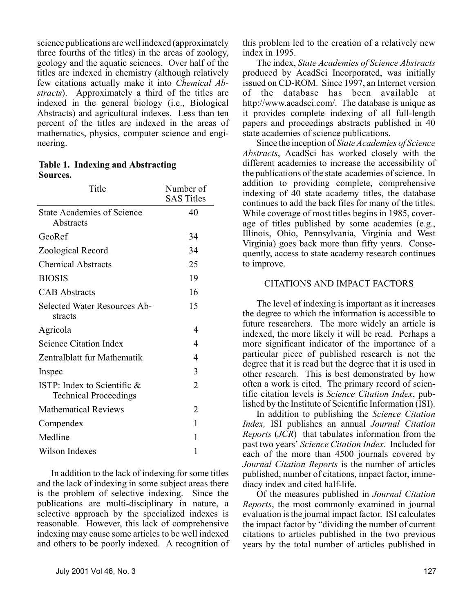science publications are well indexed (approximately three fourths of the titles) in the areas of zoology, geology and the aquatic sciences. Over half of the titles are indexed in chemistry (although relatively few citations actually make it into *Chemical Abstracts*). Approximately a third of the titles are indexed in the general biology (i.e., Biological Abstracts) and agricultural indexes. Less than ten percent of the titles are indexed in the areas of mathematics, physics, computer science and engineering.

#### **Table 1. Indexing and Abstracting Sources.**

| Title                                                         | Number of<br><b>SAS Titles</b> |
|---------------------------------------------------------------|--------------------------------|
| State Academies of Science<br>Abstracts                       | 40                             |
| GeoRef                                                        | 34                             |
| Zoological Record                                             | 34                             |
| <b>Chemical Abstracts</b>                                     | 25                             |
| <b>BIOSIS</b>                                                 | 19                             |
| <b>CAB</b> Abstracts                                          | 16                             |
| Selected Water Resources Ab-<br>stracts                       | 15                             |
| Agricola                                                      | 4                              |
| <b>Science Citation Index</b>                                 | 4                              |
| Zentralblatt fur Mathematik                                   | 4                              |
| Inspec                                                        | 3                              |
| ISTP: Index to Scientific $&$<br><b>Technical Proceedings</b> | $\overline{2}$                 |
| <b>Mathematical Reviews</b>                                   | 2                              |
| Compendex                                                     | 1                              |
| Medline                                                       | 1                              |
| Wilson Indexes                                                | 1                              |

In addition to the lack of indexing for some titles and the lack of indexing in some subject areas there is the problem of selective indexing. Since the publications are multi-disciplinary in nature, a selective approach by the specialized indexes is reasonable. However, this lack of comprehensive indexing may cause some articles to be well indexed and others to be poorly indexed. A recognition of

July 2001 Vol 46, No. 3 127

this problem led to the creation of a relatively new index in 1995.

The index, *State Academies of Science Abstracts* produced by AcadSci Incorporated, was initially issued on CD-ROM. Since 1997, an Internet version of the database has been available at http://www.acadsci.com/. The database is unique as it provides complete indexing of all full-length papers and proceedings abstracts published in 40 state academies of science publications.

Since the inception of *State Academies of Science Abstracts*, AcadSci has worked closely with the different academies to increase the accessibility of the publications of the state academies of science. In addition to providing complete, comprehensive indexing of 40 state academy titles, the database continues to add the back files for many of the titles. While coverage of most titles begins in 1985, coverage of titles published by some academies (e.g., Illinois, Ohio, Pennsylvania, Virginia and West Virginia) goes back more than fifty years. Consequently, access to state academy research continues to improve.

#### CITATIONS AND IMPACT FACTORS

The level of indexing is important as it increases the degree to which the information is accessible to future researchers. The more widely an article is indexed, the more likely it will be read. Perhaps a more significant indicator of the importance of a particular piece of published research is not the degree that it is read but the degree that it is used in other research. This is best demonstrated by how often a work is cited. The primary record of scientific citation levels is *Science Citation Index*, published by the Institute of Scientific Information (ISI).

In addition to publishing the *Science Citation Index,* ISI publishes an annual *Journal Citation Reports* (*JCR*) that tabulates information from the past two years' *Science Citation Index*. Included for each of the more than 4500 journals covered by *Journal Citation Reports* is the number of articles published, number of citations, impact factor, immediacy index and cited half-life.

Of the measures published in *Journal Citation Reports*, the most commonly examined in journal evaluation is the journal impact factor. ISI calculates the impact factor by "dividing the number of current citations to articles published in the two previous years by the total number of articles published in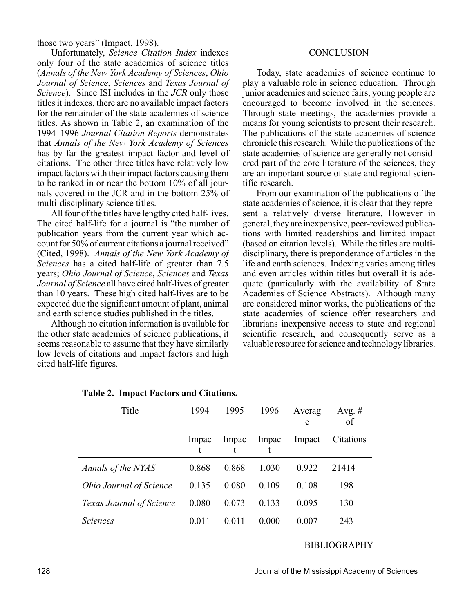those two years" (Impact, 1998).

Unfortunately, *Science Citation Index* indexes only four of the state academies of science titles (*Annals of the New York Academy of Sciences*, *Ohio Journal of Science*, *Sciences* and *Texas Journal of Science*). Since ISI includes in the *JCR* only those titles it indexes, there are no available impact factors for the remainder of the state academies of science titles. As shown in Table 2, an examination of the 1994–1996 *Journal Citation Reports* demonstrates that *Annals of the New York Academy of Sciences* has by far the greatest impact factor and level of citations. The other three titles have relatively low impact factors with their impact factors causing them to be ranked in or near the bottom 10% of all journals covered in the JCR and in the bottom 25% of multi-disciplinary science titles.

All four of the titles have lengthy cited half-lives. The cited half-life for a journal is "the number of publication years from the current year which account for 50% of current citations a journal received" (Cited, 1998). *Annals of the New York Academy of Sciences* has a cited half-life of greater than 7.5 years; *Ohio Journal of Science*, *Sciences* and *Texas Journal of Science* all have cited half-lives of greater than 10 years. These high cited half-lives are to be expected due the significant amount of plant, animal and earth science studies published in the titles.

Although no citation information is available for the other state academies of science publications, it seems reasonable to assume that they have similarly low levels of citations and impact factors and high cited half-life figures.

#### **CONCLUSION**

Today, state academies of science continue to play a valuable role in science education. Through junior academies and science fairs, young people are encouraged to become involved in the sciences. Through state meetings, the academies provide a means for young scientists to present their research. The publications of the state academies of science chronicle this research. While the publications of the state academies of science are generally not considered part of the core literature of the sciences, they are an important source of state and regional scientific research.

From our examination of the publications of the state academies of science, it is clear that they represent a relatively diverse literature. However in general, they are inexpensive, peer-reviewed publications with limited readerships and limited impact (based on citation levels). While the titles are multidisciplinary, there is preponderance of articles in the life and earth sciences. Indexing varies among titles and even articles within titles but overall it is adequate (particularly with the availability of State Academies of Science Abstracts). Although many are considered minor works, the publications of the state academies of science offer researchers and librarians inexpensive access to state and regional scientific research, and consequently serve as a valuable resource for science and technology libraries.

| Title                          | 1994       | 1995  | 1996       | Averag<br>e | Avg. $#$<br>of |
|--------------------------------|------------|-------|------------|-------------|----------------|
|                                | Impac<br>t | Impac | Impac<br>t | Impact      | Citations      |
| Annals of the NYAS             | 0.868      | 0.868 | 1.030      | 0.922       | 21414          |
| <b>Ohio Journal of Science</b> | 0.135      | 0.080 | 0.109      | 0.108       | 198            |
| Texas Journal of Science       | 0.080      | 0.073 | 0.133      | 0.095       | 130            |
| Sciences                       | 0.011      | 0.011 | 0.000      | 0.007       | 243            |

#### **Table 2. Impact Factors and Citations.**

#### BIBLIOGRAPHY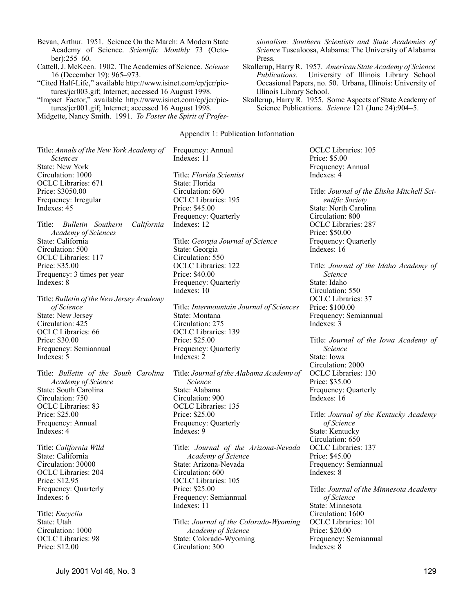- Bevan, Arthur. 1951. Science On the March: A Modern State Academy of Science. *Scientific Monthly* 73 (October):255–60.
- Cattell, J. McKeen. 1902. The Academies of Science. *Science* 16 (December 19): 965–973.
- "Cited Half-Life," available http://www.isinet.com/cp/jcr/pictures/jcr003.gif; Internet; accessed 16 August 1998.
- "Impact Factor," available http://www.isinet.com/cp/jcr/pictures/jcr001.gif; Internet; accessed 16 August 1998.
- Midgette, Nancy Smith. 1991. *To Foster the Spirit of Profes-*

*sionalism: Southern Scientists and State Academies of Science* Tuscaloosa, Alabama: The University of Alabama Press.

- Skallerup, Harry R. 1957. *American State Academy of Science Publications*. University of Illinois Library School Occasional Papers, no. 50. Urbana, Illinois: University of Illinois Library School.
- Skallerup, Harry R. 1955. Some Aspects of State Academy of Science Publications. *Science* 121 (June 24):904–5.

#### Appendix 1: Publication Information

Title: *Annals of the New York Academy of Sciences* State: New York Circulation: 1000 OCLC Libraries: 671 Price: \$3050.00 Frequency: Irregular Indexes: 45

- Title: *Bulletin—Southern California Academy of Sciences* State: California Circulation: 500 OCLC Libraries: 117 Price: \$35.00 Frequency: 3 times per year Indexes: 8
- Title: *Bulletin of the New Jersey Academy of Science* State: New Jersey Circulation: 425 OCLC Libraries: 66 Price: \$30.00 Frequency: Semiannual Indexes: 5

Title: *Bulletin of the South Carolina Academy of Science* State: South Carolina Circulation: 750 OCLC Libraries: 83 Price: \$25.00 Frequency: Annual Indexes: 4

Title: *California Wild* State: California Circulation: 30000 OCLC Libraries: 204 Price: \$12.95 Frequency: Quarterly Indexes: 6

Title: *Encyclia* State: Utah Circulation: 1000 OCLC Libraries: 98 Price: \$12.00

Title: *Florida Scientist* State: Florida Circulation: 600 OCLC Libraries: 195 Price: \$45.00 Frequency: Quarterly Indexes: 12 Title: *Georgia Journal of Science*

Frequency: Annual Indexes: 11

State: Georgia Circulation: 550 OCLC Libraries: 122 Price: \$40.00 Frequency: Quarterly Indexes: 10

Title: *Intermountain Journal of Sciences* State: Montana Circulation: 275 OCLC Libraries: 139 Price: \$25.00 Frequency: Quarterly Indexes: 2

Title: *Journal of the Alabama Academy of Science* State: Alabama Circulation: 900 OCLC Libraries: 135 Price: \$25.00 Frequency: Quarterly Indexes: 9

Title: *Journal of the Arizona-Nevada Academy of Science* State: Arizona-Nevada Circulation: 600 OCLC Libraries: 105 Price: \$25.00 Frequency: Semiannual Indexes: 11

Title: *Journal of the Colorado-Wyoming Academy of Science* State: Colorado-Wyoming Circulation: 300

OCLC Libraries: 105 Price: \$5.00 Frequency: Annual Indexes: 4

Title: *Journal of the Elisha Mitchell Scientific Society* State: North Carolina Circulation: 800 OCLC Libraries: 287 Price: \$50.00 Frequency: Quarterly Indexes: 16

Title: *Journal of the Idaho Academy of Science* State: Idaho Circulation: 550 OCLC Libraries: 37 Price: \$100.00 Frequency: Semiannual Indexes: 3

Title: *Journal of the Iowa Academy of Science* State: Iowa Circulation: 2000 OCLC Libraries: 130 Price: \$35.00 Frequency: Quarterly Indexes: 16

Title: *Journal of the Kentucky Academy of Science* State: Kentucky Circulation: 650 OCLC Libraries: 137 Price: \$45.00 Frequency: Semiannual Indexes: 8

Title: *Journal of the Minnesota Academy of Science* State: Minnesota Circulation: 1600 OCLC Libraries: 101 Price: \$20.00 Frequency: Semiannual Indexes: 8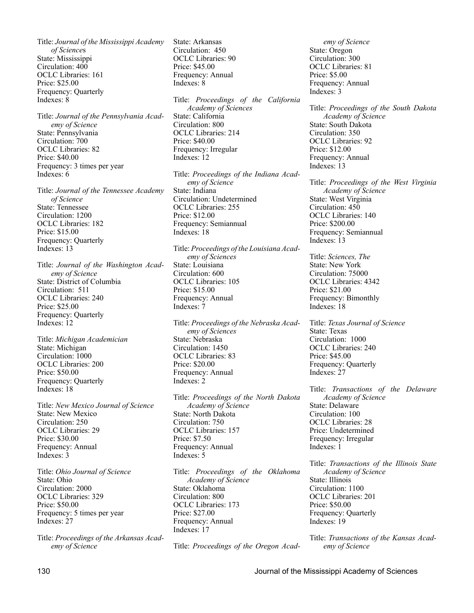Title: *Journal of the Mississippi Academy of Science*s State: Mississippi Circulation: 400 OCLC Libraries: 161 Price: \$25.00 Frequency: Quarterly Indexes: 8

Title: *Journal of the Pennsylvania Academy of Science* State: Pennsylvania Circulation: 700 OCLC Libraries: 82 Price: \$40.00 Frequency: 3 times per year Indexes: 6

Title: *Journal of the Tennessee Academy of Science* State: Tennessee Circulation: 1200 OCLC Libraries: 182 Price: \$15.00 Frequency: Quarterly Indexes: 13

Title: *Journal of the Washington Academy of Science* State: District of Columbia Circulation: 511 OCLC Libraries: 240 Price: \$25.00 Frequency: Quarterly Indexes: 12

Title: *Michigan Academician* State: Michigan Circulation: 1000 OCLC Libraries: 200 Price: \$50.00 Frequency: Quarterly Indexes: 18

Title: *New Mexico Journal of Science* State: New Mexico Circulation: 250 OCLC Libraries: 29 Price: \$30.00 Frequency: Annual Indexes: 3

Title: *Ohio Journal of Science* State: Ohio Circulation: 2000 OCLC Libraries: 329 Price: \$50.00 Frequency: 5 times per year Indexes: 27

Title: *Proceedings of the Arkansas Academy of Science*

State: Arkansas Circulation: 450 OCLC Libraries: 90 Price: \$45.00 Frequency: Annual Indexes: 8

Title: *Proceedings of the California Academy of Sciences* State: California Circulation: 800 OCLC Libraries: 214 Price: \$40.00 Frequency: Irregular Indexes: 12

Title: *Proceedings of the Indiana Academy of Science* State: Indiana Circulation: Undetermined OCLC Libraries: 255 Price: \$12.00 Frequency: Semiannual Indexes: 18

Title: *Proceedings of the Louisiana Academy of Sciences* State: Louisiana Circulation: 600 OCLC Libraries: 105 Price: \$15.00 Frequency: Annual Indexes: 7

Title: *Proceedings of the Nebraska Academy of Sciences* State: Nebraska Circulation: 1450 OCLC Libraries: 83 Price: \$20.00 Frequency: Annual Indexes: 2

Title: *Proceedings of the North Dakota Academy of Science* State: North Dakota Circulation: 750 OCLC Libraries: 157 Price: \$7.50 Frequency: Annual Indexes: 5

Title: *Proceedings of the Oklahoma Academy of Science* State: Oklahoma Circulation: 800 OCLC Libraries: 173 Price: \$27.00 Frequency: Annual Indexes: 17

Title: *Proceedings of the Oregon Acad-*

*emy of Science* State: Oregon Circulation: 300 OCLC Libraries: 81 Price: \$5.00 Frequency: Annual Indexes: 3

Title: *Proceedings of the South Dakota Academy of Science* State: South Dakota Circulation: 350 OCLC Libraries: 92 Price: \$12.00 Frequency: Annual Indexes: 13

Title: *Proceedings of the West Virginia Academy of Science* State: West Virginia Circulation: 450 OCLC Libraries: 140 Price: \$200.00 Frequency: Semiannual Indexes: 13

Title: *Sciences, The* State: New York Circulation: 75000 OCLC Libraries: 4342 Price: \$21.00 Frequency: Bimonthly Indexes: 18

Title: *Texas Journal of Science* State: Texas Circulation: 1000 OCLC Libraries: 240 Price: \$45.00 Frequency: Quarterly Indexes: 27

Title: *Transactions of the Delaware Academy of Science* State: Delaware Circulation: 100 OCLC Libraries: 28 Price: Undetermined Frequency: Irregular Indexes: 1

Title: *Transactions of the Illinois State Academy of Science* State: Illinois Circulation: 1100 OCLC Libraries: 201 Price: \$50.00 Frequency: Quarterly Indexes: 19

Title: *Transactions of the Kansas Academy of Science*

130 **130 Journal of the Mississippi Academy of Sciences**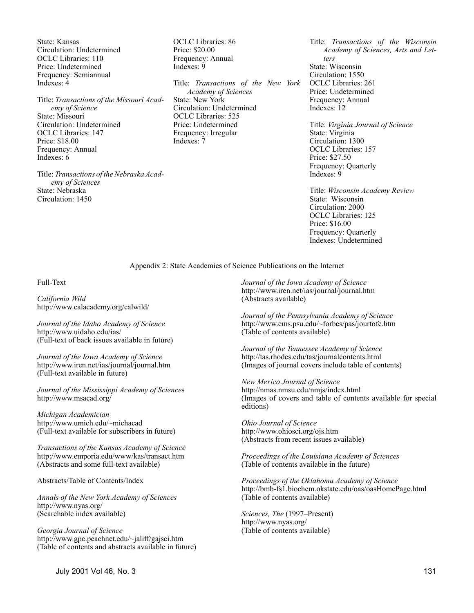State: Kansas Circulation: Undetermined OCLC Libraries: 110 Price: Undetermined Frequency: Semiannual Indexes: 4

Title: *Transactions of the Missouri Academy of Science* State: Missouri Circulation: Undetermined OCLC Libraries: 147 Price: \$18.00 Frequency: Annual Indexes: 6

Title: *Transactions of the Nebraska Academy of Sciences* State: Nebraska Circulation: 1450

OCLC Libraries: 86 Price: \$20.00 Frequency: Annual Indexes: 9

Title: *Transactions of the New York Academy of Sciences* State: New York Circulation: Undetermined OCLC Libraries: 525 Price: Undetermined Frequency: Irregular Indexes: 7

Title: *Transactions of the Wisconsin Academy of Sciences, Arts and Letters* State: Wisconsin Circulation: 1550 OCLC Libraries: 261 Price: Undetermined Frequency: Annual Indexes: 12

Title: *Virginia Journal of Science* State: Virginia Circulation: 1300 OCLC Libraries: 157 Price: \$27.50 Frequency: Quarterly Indexes: 9

Title: *Wisconsin Academy Review* State: Wisconsin Circulation: 2000 OCLC Libraries: 125 Price: \$16.00 Frequency: Quarterly Indexes: Undetermined

Appendix 2: State Academies of Science Publications on the Internet

Full-Text

*California Wild* http://www.calacademy.org/calwild/

*Journal of the Idaho Academy of Science* http://www.uidaho.edu/ias/ (Full-text of back issues available in future)

*Journal of the Iowa Academy of Science* http://www.iren.net/ias/journal/journal.htm (Full-text available in future)

*Journal of the Mississippi Academy of Science*s http://www.msacad.org/

*Michigan Academician* http://www.umich.edu/~michacad (Full-text available for subscribers in future)

*Transactions of the Kansas Academy of Science* http://www.emporia.edu/www/kas/transact.htm (Abstracts and some full-text available)

Abstracts/Table of Contents/Index

*Annals of the New York Academy of Sciences* http://www.nyas.org/ (Searchable index available)

*Georgia Journal of Science* http://www.gpc.peachnet.edu/~jaliff/gajsci.htm (Table of contents and abstracts available in future) *Journal of the Iowa Academy of Science* http://www.iren.net/ias/journal/journal.htm (Abstracts available)

*Journal of the Pennsylvania Academy of Science* http://www.ems.psu.edu/~forbes/pas/jourtofc.htm (Table of contents available)

*Journal of the Tennessee Academy of Science* http://tas.rhodes.edu/tas/journalcontents.html (Images of journal covers include table of contents)

*New Mexico Journal of Science* http://nmas.nmsu.edu/nmjs/index.html (Images of covers and table of contents available for special editions)

*Ohio Journal of Science* http://www.ohiosci.org/ojs.htm (Abstracts from recent issues available)

*Proceedings of the Louisiana Academy of Sciences* (Table of contents available in the future)

*Proceedings of the Oklahoma Academy of Science* http://bmb-fs1.biochem.okstate.edu/oas/oasHomePage.html (Table of contents available)

*Sciences, The* (1997–Present) http://www.nyas.org/ (Table of contents available)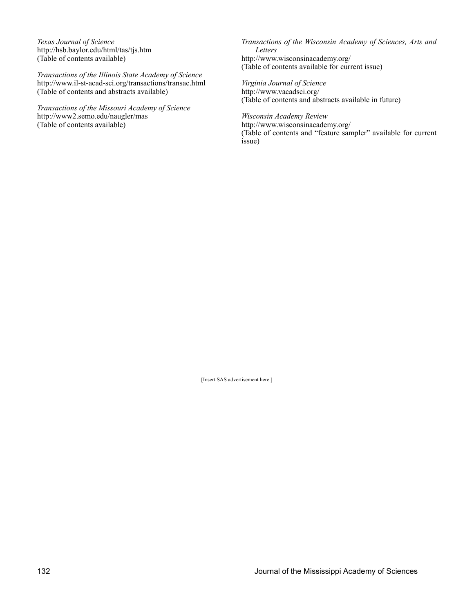*Texas Journal of Science* http://hsb.baylor.edu/html/tas/tjs.htm (Table of contents available)

*Transactions of the Illinois State Academy of Science* http://www.il-st-acad-sci.org/transactions/transac.html (Table of contents and abstracts available)

*Transactions of the Missouri Academy of Science* http://www2.semo.edu/naugler/mas (Table of contents available)

*Transactions of the Wisconsin Academy of Sciences, Arts and Letters*

http://www.wisconsinacademy.org/ (Table of contents available for current issue)

*Virginia Journal of Science* http://www.vacadsci.org/ (Table of contents and abstracts available in future)

*Wisconsin Academy Review* http://www.wisconsinacademy.org/ (Table of contents and "feature sampler" available for current issue)

[Insert SAS advertisement here.]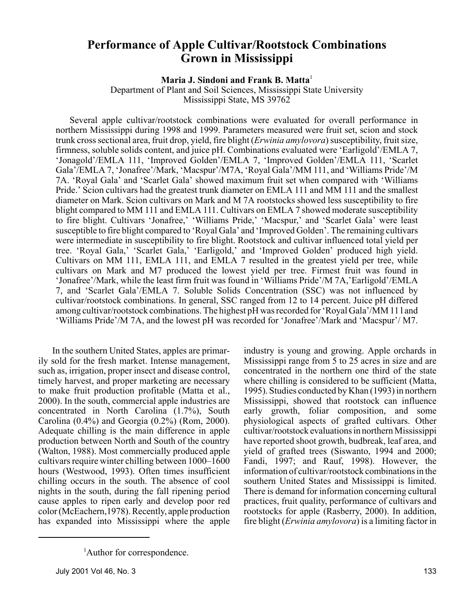### **Performance of Apple Cultivar/Rootstock Combinations Grown in Mississippi**

#### **Maria J. Sindoni and Frank B. Matta**<sup>1</sup>

Department of Plant and Soil Sciences, Mississippi State University Mississippi State, MS 39762

Several apple cultivar/rootstock combinations were evaluated for overall performance in northern Mississippi during 1998 and 1999. Parameters measured were fruit set, scion and stock trunk cross sectional area, fruit drop, yield, fire blight (*Erwinia amylovora*) susceptibility, fruit size, firmness, soluble solids content, and juice pH. Combinations evaluated were 'Earligold'/EMLA 7, 'Jonagold'/EMLA 111, 'Improved Golden'/EMLA 7, 'Improved Golden'/EMLA 111, 'Scarlet Gala'/EMLA 7, 'Jonafree'/Mark, 'Macspur'/M7A, 'Royal Gala'/MM 111, and 'Williams Pride'/M 7A. 'Royal Gala' and 'Scarlet Gala' showed maximum fruit set when compared with 'Williams Pride.' Scion cultivars had the greatest trunk diameter on EMLA 111 and MM 111 and the smallest diameter on Mark. Scion cultivars on Mark and M 7A rootstocks showed less susceptibility to fire blight compared to MM 111 and EMLA 111. Cultivars on EMLA 7 showed moderate susceptibility to fire blight. Cultivars 'Jonafree,' 'Williams Pride,' 'Macspur,' and 'Scarlet Gala' were least susceptible to fire blight compared to 'Royal Gala' and 'Improved Golden'. The remaining cultivars were intermediate in susceptibility to fire blight. Rootstock and cultivar influenced total yield per tree. 'Royal Gala,' 'Scarlet Gala,' 'Earligold,' and 'Improved Golden' produced high yield. Cultivars on MM 111, EMLA 111, and EMLA 7 resulted in the greatest yield per tree, while cultivars on Mark and M7 produced the lowest yield per tree. Firmest fruit was found in 'Jonafree'/Mark, while the least firm fruit was found in 'Williams Pride'/M 7A,'Earligold'/EMLA 7, and 'Scarlet Gala'/EMLA 7. Soluble Solids Concentration (SSC) was not influenced by cultivar/rootstock combinations. In general, SSC ranged from 12 to 14 percent. Juice pH differed among cultivar/rootstock combinations. The highest pH was recorded for 'Royal Gala'/MM 11 l and 'Williams Pride'/M 7A, and the lowest pH was recorded for 'Jonafree'/Mark and 'Macspur'/ M7.

In the southern United States, apples are primarily sold for the fresh market. Intense management, such as, irrigation, proper insect and disease control, timely harvest, and proper marketing are necessary to make fruit production profitable (Matta et al., 2000). In the south, commercial apple industries are concentrated in North Carolina (1.7%), South Carolina (0.4%) and Georgia (0.2%) (Rom, 2000). Adequate chilling is the main difference in apple production between North and South of the country (Walton, 1988). Most commercially produced apple cultivars require winter chilling between 1000–1600 hours (Westwood, 1993). Often times insufficient chilling occurs in the south. The absence of cool nights in the south, during the fall ripening period cause apples to ripen early and develop poor red color (McEachern,1978). Recently, apple production has expanded into Mississippi where the apple

industry is young and growing. Apple orchards in Mississippi range from 5 to 25 acres in size and are concentrated in the northern one third of the state where chilling is considered to be sufficient (Matta, 1995). Studies conducted by Khan (1993) in northern Mississippi, showed that rootstock can influence early growth, foliar composition, and some physiological aspects of grafted cultivars. Other cultivar/rootstock evaluations in northern Mississippi have reported shoot growth, budbreak, leaf area, and yield of grafted trees (Siswanto, 1994 and 2000; Fandi, 1997; and Rauf, 1998). However, the information of cultivar/rootstock combinations in the southern United States and Mississippi is limited. There is demand for information concerning cultural practices, fruit quality, performance of cultivars and rootstocks for apple (Rasberry, 2000). In addition, fire blight (*Erwinia amylovora*) is a limiting factor in

<sup>&</sup>lt;sup>1</sup>Author for correspondence.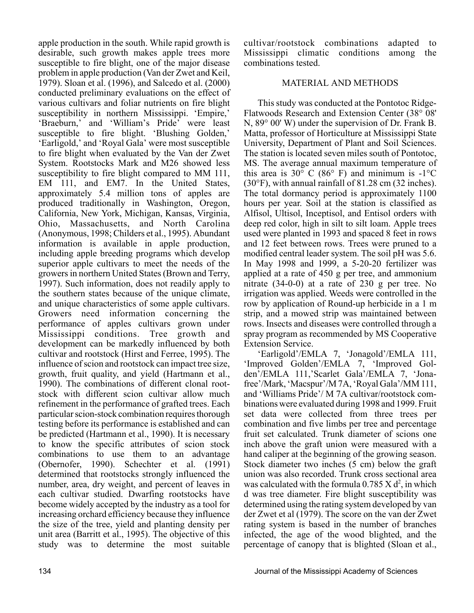apple production in the south. While rapid growth is desirable, such growth makes apple trees more susceptible to fire blight, one of the major disease problem in apple production (Van der Zwet and Keil, 1979). Sloan et al. (1996), and Salcedo et al. (2000) conducted preliminary evaluations on the effect of various cultivars and foliar nutrients on fire blight susceptibility in northern Mississippi. 'Empire,' 'Braeburn,' and 'William's Pride' were least susceptible to fire blight. 'Blushing Golden,' 'Earligold,' and 'Royal Gala' were most susceptible to fire blight when evaluated by the Van der Zwet System. Rootstocks Mark and M26 showed less susceptibility to fire blight compared to MM 111, EM 111, and EM7. In the United States, approximately 5.4 million tons of apples are produced traditionally in Washington, Oregon, California, New York, Michigan, Kansas, Virginia, Ohio, Massachusetts, and North Carolina (Anonymous, 1998; Childers et al., 1995). Abundant information is available in apple production, including apple breeding programs which develop superior apple cultivars to meet the needs of the growers in northern United States (Brown and Terry, 1997). Such information, does not readily apply to the southern states because of the unique climate, and unique characteristics of some apple cultivars. Growers need information concerning the performance of apples cultivars grown under Mississippi conditions. Tree growth and development can be markedly influenced by both cultivar and rootstock (Hirst and Ferree, 1995). The influence of scion and rootstock can impact tree size, growth, fruit quality, and yield (Hartmann et al., 1990). The combinations of different clonal rootstock with different scion cultivar allow much refinement in the performance of grafted trees. Each particular scion-stock combination requires thorough testing before its performance is established and can be predicted (Hartmann et al., 1990). It is necessary to know the specific attributes of scion stock combinations to use them to an advantage (Obernofer, 1990). Schechter et al. (1991) determined that rootstocks strongly influenced the number, area, dry weight, and percent of leaves in each cultivar studied. Dwarfing rootstocks have become widely accepted by the industry as a tool for increasing orchard efficiency because they influence the size of the tree, yield and planting density per unit area (Barritt et al., 1995). The objective of this study was to determine the most suitable

cultivar/rootstock combinations adapted to Mississippi climatic conditions among the combinations tested.

#### MATERIAL AND METHODS

This study was conducted at the Pontotoc Ridge-Flatwoods Research and Extension Center (38° 08' N, 89° 00' W) under the supervision of Dr. Frank B. Matta, professor of Horticulture at Mississippi State University, Department of Plant and Soil Sciences. The station is located seven miles south of Pontotoc, MS. The average annual maximum temperature of this area is 30 $\degree$  C (86 $\degree$  F) and minimum is -1 $\degree$ C (30°F), with annual rainfall of 81.28 cm (32 inches). The total dormancy period is approximately 1100 hours per year. Soil at the station is classified as Alfisol, Ultisol, Inceptisol, and Entisol orders with deep red color, high in silt to silt loam. Apple trees used were planted in 1993 and spaced 8 feet in rows and 12 feet between rows. Trees were pruned to a modified central leader system. The soil pH was 5.6. In May 1998 and 1999, a 5-20-20 fertilizer was applied at a rate of 450 g per tree, and ammonium nitrate (34-0-0) at a rate of 230 g per tree. No irrigation was applied. Weeds were controlled in the row by application of Round-up herbicide in a 1 m strip, and a mowed strip was maintained between rows. Insects and diseases were controlled through a spray program as recommended by MS Cooperative Extension Service.

'Earligold'/EMLA 7, 'Jonagold'/EMLA 111, 'Improved Golden'/EMLA 7, 'Improved Golden'/EMLA 111,'Scarlet Gala'/EMLA 7, 'Jonafree'/Mark, 'Macspur'/M 7A, 'Royal Gala'/MM 111, and 'Williams Pride'/ M 7A cultivar/rootstock combinations were evaluated during 1998 and 1999. Fruit set data were collected from three trees per combination and five limbs per tree and percentage fruit set calculated. Trunk diameter of scions one inch above the graft union were measured with a hand caliper at the beginning of the growing season. Stock diameter two inches (5 cm) below the graft union was also recorded. Trunk cross sectional area was calculated with the formula  $0.785 \text{ X d}^2$ , in which d was tree diameter. Fire blight susceptibility was determined using the rating system developed by van der Zwet et al (1979). The score on the van der Zwet rating system is based in the number of branches infected, the age of the wood blighted, and the percentage of canopy that is blighted (Sloan et al.,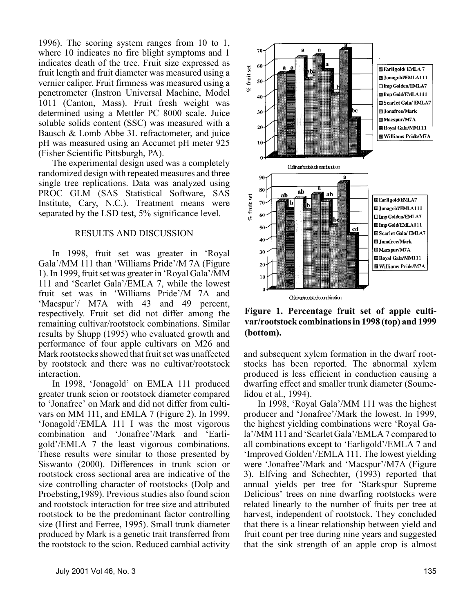1996). The scoring system ranges from 10 to 1, where 10 indicates no fire blight symptoms and 1 indicates death of the tree. Fruit size expressed as fruit length and fruit diameter was measured using a vernier caliper. Fruit firmness was measured using a penetrometer (Instron Universal Machine, Model 1011 (Canton, Mass). Fruit fresh weight was determined using a Mettler PC 8000 scale. Juice soluble solids content (SSC) was measured with a Bausch & Lomb Abbe 3L refractometer, and juice pH was measured using an Accumet pH meter 925 (Fisher Scientific Pittsburgh, PA).

The experimental design used was a completely randomized design with repeated measures and three single tree replications. Data was analyzed using PROC GLM (SAS Statistical Software, SAS Institute, Cary, N.C.). Treatment means were separated by the LSD test, 5% significance level.

#### RESULTS AND DISCUSSION

In 1998, fruit set was greater in 'Royal Gala'/MM 111 than 'Williams Pride'/M 7A (Figure 1). In 1999, fruit set was greater in 'Royal Gala'/MM 111 and 'Scarlet Gala'/EMLA 7, while the lowest fruit set was in 'Williams Pride'/M 7A and 'Macspur'/ M7A with 43 and 49 percent, respectively. Fruit set did not differ among the remaining cultivar/rootstock combinations. Similar results by Shupp (1995) who evaluated growth and performance of four apple cultivars on M26 and Mark rootstocks showed that fruit set was unaffected by rootstock and there was no cultivar/rootstock interaction.

In 1998, 'Jonagold' on EMLA 111 produced greater trunk scion or rootstock diameter compared to 'Jonafree' on Mark and did not differ from cultivars on MM 111, and EMLA 7 (Figure 2). In 1999, 'Jonagold'/EMLA 111 I was the most vigorous combination and 'Jonafree'/Mark and 'Earligold'/EMLA 7 the least vigorous combinations. These results were similar to those presented by Siswanto (2000). Differences in trunk scion or rootstock cross sectional area are indicative of the size controlling character of rootstocks (Dolp and Proebsting,1989). Previous studies also found scion and rootstock interaction for tree size and attributed rootstock to be the predominant factor controlling size (Hirst and Ferree, 1995). Small trunk diameter produced by Mark is a genetic trait transferred from the rootstock to the scion. Reduced cambial activity



**Figure 1. Percentage fruit set of apple cultivar/rootstock combinations in 1998 (top) and 1999 (bottom).**

and subsequent xylem formation in the dwarf rootstocks has been reported. The abnormal xylem produced is less efficient in conduction causing a dwarfing effect and smaller trunk diameter (Soumelidou et al., 1994).

In 1998, 'Royal Gala'/MM 111 was the highest producer and 'Jonafree'/Mark the lowest. In 1999, the highest yielding combinations were 'Royal Gala'/MM 111 and 'Scarlet Gala'/EMLA 7 compared to all combinations except to 'Earligold'/EMLA 7 and 'Improved Golden'/EMLA 111. The lowest yielding were 'Jonafree'/Mark and 'Macspur'/M7A (Figure 3). Elfving and Schechter, (1993) reported that annual yields per tree for 'Starkspur Supreme Delicious' trees on nine dwarfing rootstocks were related linearly to the number of fruits per tree at harvest, independent of rootstock. They concluded that there is a linear relationship between yield and fruit count per tree during nine years and suggested that the sink strength of an apple crop is almost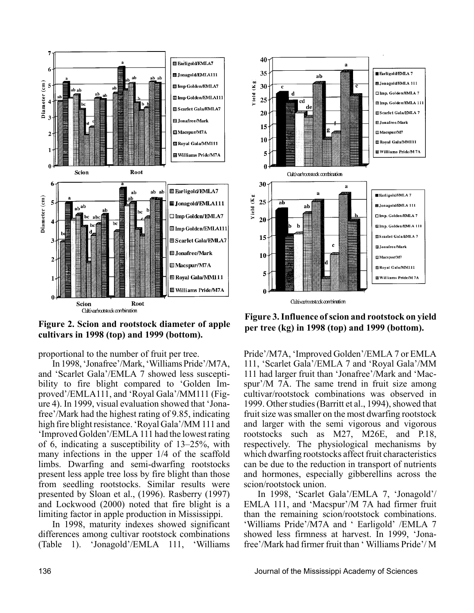

**Figure 2. Scion and rootstock diameter of apple cultivars in 1998 (top) and 1999 (bottom).**

proportional to the number of fruit per tree.

In 1998, 'Jonafree'/Mark, 'Williams Pride'/M7A, and 'Scarlet Gala'/EMLA 7 showed less susceptibility to fire blight compared to 'Golden Improved'/EMLA111, and 'Royal Gala'/MM111 (Figure 4). In 1999, visual evaluation showed that 'Jonafree'/Mark had the highest rating of 9.85, indicating high fire blight resistance. 'Royal Gala'/MM 111 and 'Improved Golden'/EMLA 111 had the lowest rating of 6, indicating a susceptibility of 13–25%, with many infections in the upper 1/4 of the scaffold limbs. Dwarfing and semi-dwarfing rootstocks present less apple tree loss by fire blight than those from seedling rootstocks. Similar results were presented by Sloan et al., (1996). Rasberry (1997) and Lockwood (2000) noted that fire blight is a limiting factor in apple production in Mississippi.

In 1998, maturity indexes showed significant differences among cultivar rootstock combinations (Table 1). 'Jonagold'/EMLA 111, 'Williams



**Figure 3. Influence of scion and rootstock on yield per tree (kg) in 1998 (top) and 1999 (bottom).**

Pride'/M7A, 'Improved Golden'/EMLA 7 or EMLA 111, 'Scarlet Gala'/EMLA 7 and 'Royal Gala'/MM 111 had larger fruit than 'Jonafree'/Mark and 'Macspur'/M 7A. The same trend in fruit size among cultivar/rootstock combinations was observed in 1999. Other studies (Barritt et al., 1994), showed that fruit size was smaller on the most dwarfing rootstock and larger with the semi vigorous and vigorous rootstocks such as M27, M26E, and P.18, respectively. The physiological mechanisms by which dwarfing rootstocks affect fruit characteristics can be due to the reduction in transport of nutrients and hormones, especially gibberellins across the scion/rootstock union.

In 1998, 'Scarlet Gala'/EMLA 7, 'Jonagold'/ EMLA 111, and 'Macspur'/M 7A had firmer fruit than the remaining scion/rootstock combinations. 'Williams Pride'/M7A and ' Earligold' /EMLA 7 showed less firmness at harvest. In 1999, 'Jonafree'/Mark had firmer fruit than ' Williams Pride'/ M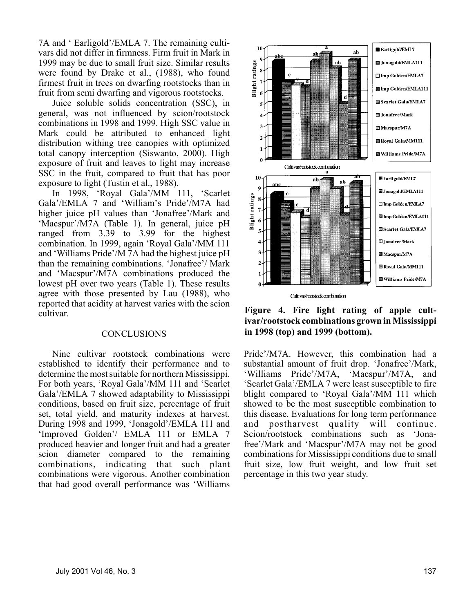7A and ' Earligold'/EMLA 7. The remaining cultivars did not differ in firmness. Firm fruit in Mark in 1999 may be due to small fruit size. Similar results were found by Drake et al., (1988), who found firmest fruit in trees on dwarfing rootstocks than in fruit from semi dwarfing and vigorous rootstocks.

Juice soluble solids concentration (SSC), in general, was not influenced by scion/rootstock combinations in 1998 and 1999. High SSC value in Mark could be attributed to enhanced light distribution withing tree canopies with optimized total canopy interception (Siswanto, 2000). High exposure of fruit and leaves to light may increase SSC in the fruit, compared to fruit that has poor exposure to light (Tustin et al., 1988).

In 1998, 'Royal Gala'/MM 111, 'Scarlet Gala'/EMLA 7 and 'William's Pride'/M7A had higher juice pH values than 'Jonafree'/Mark and 'Macspur'/M7A (Table 1). In general, juice pH ranged from 3.39 to 3.99 for the highest combination. In 1999, again 'Royal Gala'/MM 111 and 'Williams Pride'/M 7A had the highest juice pH than the remaining combinations. 'Jonafree'/ Mark and 'Macspur'/M7A combinations produced the lowest pH over two years (Table 1). These results agree with those presented by Lau (1988), who reported that acidity at harvest varies with the scion cultivar.

#### **CONCLUSIONS**

Nine cultivar rootstock combinations were established to identify their performance and to determine the most suitable for northern Mississippi. For both years, 'Royal Gala'/MM 111 and 'Scarlet Gala'/EMLA 7 showed adaptability to Mississippi conditions, based on fruit size, percentage of fruit set, total yield, and maturity indexes at harvest. During 1998 and 1999, 'Jonagold'/EMLA 111 and 'Improved Golden'/ EMLA 111 or EMLA 7 produced heavier and longer fruit and had a greater scion diameter compared to the remaining combinations, indicating that such plant combinations were vigorous. Another combination that had good overall performance was 'Williams





Pride'/M7A. However, this combination had a substantial amount of fruit drop. 'Jonafree'/Mark, 'Williams Pride'/M7A, 'Macspur'/M7A, and 'Scarlet Gala'/EMLA 7 were least susceptible to fire blight compared to 'Royal Gala'/MM 111 which showed to be the most susceptible combination to this disease. Evaluations for long term performance and postharvest quality will continue. Scion/rootstock combinations such as 'Jonafree'/Mark and 'Macspur'/M7A may not be good combinations for Mississippi conditions due to small fruit size, low fruit weight, and low fruit set percentage in this two year study.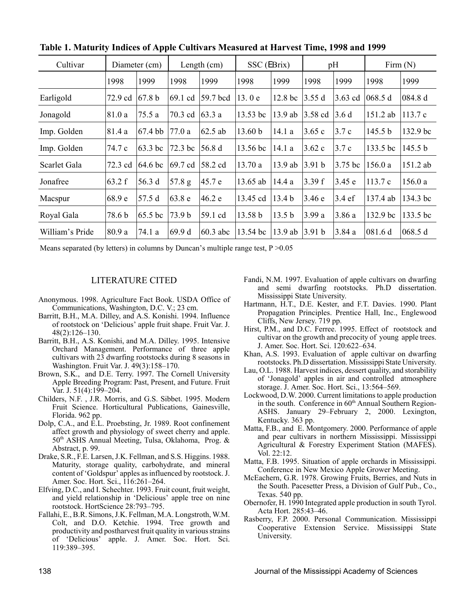| Cultivar        |         | Diameter (cm)     |                 | Length $(cm)$ | SSC (EBrix) |                   | pH                |         | Firm $(N)$ |          |
|-----------------|---------|-------------------|-----------------|---------------|-------------|-------------------|-------------------|---------|------------|----------|
|                 | 1998    | 1999              | 1998            | 1999          | 1998        | 1999              | 1998              | 1999    | 1998       | 1999     |
| Earligold       | 72.9 cd | 67.8 <sub>b</sub> | 69.1 cd         | 59.7 bcd      | 13.0e       | 12.8 bc           | 3.55d             | 3.63 cd | 068.5 d    | 084.8 d  |
| Jonagold        | 81.0 a  | 75.5 a            | 70.3 cd         | 63.3 a        | 13.53 bc    | 13.9 ab           | $3.58$ cd         | 3.6d    | 151.2 ab   | 113.7 c  |
| Imp. Golden     | 81.4 a  | 67.4 bb           | 77.0 a          | $62.5$ ab     | 13.60 b     | 14.1a             | 3.65c             | 3.7c    | 145.5 b    | 132.9 bc |
| Imp. Golden     | 74.7 c  | 63.3 bc           | 72.3 bc         | 56.8 d        | 13.56 bc    | 14.1a             | 3.62c             | 3.7c    | 133.5 bc   | 145.5 b  |
| Scarlet Gala    | 72.3 cd | 64.6 bc           | 69.7 cd         | 58.2 cd       | 13.70 a     | 13.9 ab           | 3.91 <sub>b</sub> | 3.75 bc | 156.0 a    | 151.2 ab |
| Jonafree        | 63.2 f  | 56.3 d            | $57.8\text{ g}$ | 45.7 e        | 13.65 ab    | 14.4 a            | 3.39 f            | 3.45 e  | 113.7c     | 156.0a   |
| Macspur         | 68.9 e  | 57.5 d            | 63.8 e          | 46.2 e        | 13.45 cd    | 13.4 <sub>b</sub> | 3.46 e            | 3.4 ef  | 137.4 ab   | 134.3 bc |
| Royal Gala      | 78.6 b  | 65.5 bc           | 73.9 b          | 59.1 cd       | 13.58 b     | 13.5 <sub>b</sub> | 3.99a             | 3.86a   | 132.9 bc   | 133.5 bc |
| William's Pride | 80.9a   | 74.1 a            | 69.9d           | $60.3$ abc    | 13.54 bc    | $13.9$ ab         | 3.91 <sub>b</sub> | 3.84a   | 081.6 d    | 068.5 d  |

**Table 1. Maturity Indices of Apple Cultivars Measured at Harvest Time, 1998 and 1999**

Means separated (by letters) in columns by Duncan's multiple range test,  $P > 0.05$ 

#### LITERATURE CITED

- Anonymous. 1998. Agriculture Fact Book. USDA Office of Communications, Washington, D.C. V.; 23 cm.
- Barritt, B.H., M.A. Dilley, and A.S. Konishi. 1994. Influence of rootstock on 'Delicious' apple fruit shape. Fruit Var. J. 48(2):126–130.
- Barritt, B.H., A.S. Konishi, and M.A. Dilley. 1995. Intensive Orchard Management. Performance of three apple cultivars with 23 dwarfing rootstocks during 8 seasons in Washington. Fruit Var. J. 49(3):158–170.
- Brown, S.K., and D.E. Terry. 1997. The Cornell University Apple Breeding Program: Past, Present, and Future. Fruit Var. J. 51(4):199–204.
- Childers, N.F. , J.R. Morris, and G.S. Sibbet. 1995. Modern Fruit Science. Horticultural Publications, Gainesville, Florida. 962 pp.
- Dolp, C.A., and E.L. Proebsting, Jr. 1989. Root confinement affect growth and physiology of sweet cherry and apple. 50th ASHS Annual Meeting, Tulsa, Oklahoma, Prog. & Abstract, p. 99.
- Drake, S.R., F.E. Larsen, J.K. Fellman, and S.S. Higgins. 1988. Maturity, storage quality, carbohydrate, and mineral content of 'Goldspur' apples as influenced by rootstock. J. Amer. Soc. Hort. Sci., 116:261–264.
- Elfving, D.C., and I. Schechter. 1993. Fruit count, fruit weight, and yield relationship in 'Delicious' apple tree on nine rootstock. HortScience 28:793–795.
- Fallahi, E., B.R. Simons, J.K. Fellman, M.A. Longstroth, W.M. Colt, and D.O. Ketchie. 1994. Tree growth and productivity and postharvest fruit quality in various strains of 'Delicious' apple. J. Amer. Soc. Hort. Sci. 119:389–395.
- Fandi, N.M. 1997. Evaluation of apple cultivars on dwarfing and semi dwarfing rootstocks. Ph.D dissertation. Mississippi State University.
- Hartmann, H.T., D.E. Kester, and F.T. Davies. 1990. Plant Propagation Principles. Prentice Hall, Inc., Englewood Cliffs, New Jersey. 719 pp.
- Hirst, P.M., and D.C. Ferree. 1995. Effect of rootstock and cultivar on the growth and precocity of young apple trees. J. Amer. Soc. Hort. Sci. 120:622–634.
- Khan, A.S. 1993. Evaluation of apple cultivar on dwarfing rootstocks. Ph.D dissertation. Mississippi State University.
- Lau, O.L. 1988. Harvest indices, dessert quality, and storability of 'Jonagold' apples in air and controlled atmosphere storage. J. Amer. Soc. Hort. Sci., 13:564–569.
- Lockwood, D.W. 2000. Current limitations to apple production in the south. Conference in  $60<sup>th</sup>$  Annual Southern Region-ASHS. January 29–February 2, 2000. Lexington, Kentucky. 363 pp.
- Matta, F.B., and E. Montgomery. 2000. Performance of apple and pear cultivars in northern Mississippi. Mississippi Agricultural & Forestry Experiment Station (MAFES). Vol. 22:12.
- Matta, F.B. 1995. Situation of apple orchards in Mississippi. Conference in New Mexico Apple Grower Meeting.
- McEachern, G.R. 1978. Growing Fruits, Berries, and Nuts in the South. Pacesetter Press, a Division of Gulf Pub., Co., Texas. 540 pp.
- Obernofer, H. 1990 Integrated apple production in south Tyrol. Acta Hort. 285:43–46.
- Rasberry, F.P. 2000. Personal Communication. Mississippi Cooperative Extension Service. Mississippi State University.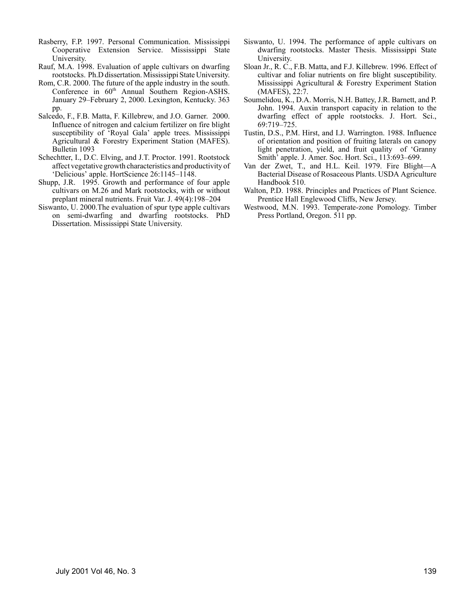- Rasberry, F.P. 1997. Personal Communication. Mississippi Cooperative Extension Service. Mississippi State University.
- Rauf, M.A. 1998. Evaluation of apple cultivars on dwarfing rootstocks. Ph.D dissertation. Mississippi State University.
- Rom, C.R. 2000. The future of the apple industry in the south. Conference in  $60<sup>th</sup>$  Annual Southern Region-ASHS. January 29–February 2, 2000. Lexington, Kentucky. 363 pp.
- Salcedo, F., F.B. Matta, F. Killebrew, and J.O. Garner. 2000. Influence of nitrogen and calcium fertilizer on fire blight susceptibility of 'Royal Gala' apple trees. Mississippi Agricultural & Forestry Experiment Station (MAFES). Bulletin 1093
- Schechtter, I., D.C. Elving, and J.T. Proctor. 1991. Rootstock affect vegetative growth characteristics and productivity of 'Delicious' apple. HortScience 26:1145–1148.
- Shupp, J.R. 1995. Growth and performance of four apple cultivars on M.26 and Mark rootstocks, with or without preplant mineral nutrients. Fruit Var. J. 49(4):198–204
- Siswanto, U. 2000.The evaluation of spur type apple cultivars on semi-dwarfing and dwarfing rootstocks. PhD Dissertation. Mississippi State University.
- Siswanto, U. 1994. The performance of apple cultivars on dwarfing rootstocks. Master Thesis. Mississippi State University.
- Sloan Jr., R. C., F.B. Matta, and F.J. Killebrew. 1996. Effect of cultivar and foliar nutrients on fire blight susceptibility. Mississippi Agricultural & Forestry Experiment Station (MAFES), 22:7.
- Soumelidou, K., D.A. Morris, N.H. Battey, J.R. Barnett, and P. John. 1994. Auxin transport capacity in relation to the dwarfing effect of apple rootstocks. J. Hort. Sci., 69:719–725.
- Tustin, D.S., P.M. Hirst, and I.J. Warrington. 1988. Influence of orientation and position of fruiting laterals on canopy light penetration, yield, and fruit quality of 'Granny Smith' apple. J. Amer. Soc. Hort. Sci., 113:693–699.
- Van der Zwet, T., and H.L. Keil. 1979. Fire Blight—A Bacterial Disease of Rosaceous Plants. USDA Agriculture Handbook 510.
- Walton, P.D. 1988. Principles and Practices of Plant Science. Prentice Hall Englewood Cliffs, New Jersey.
- Westwood, M.N. 1993. Temperate-zone Pomology. Timber Press Portland, Oregon. 511 pp.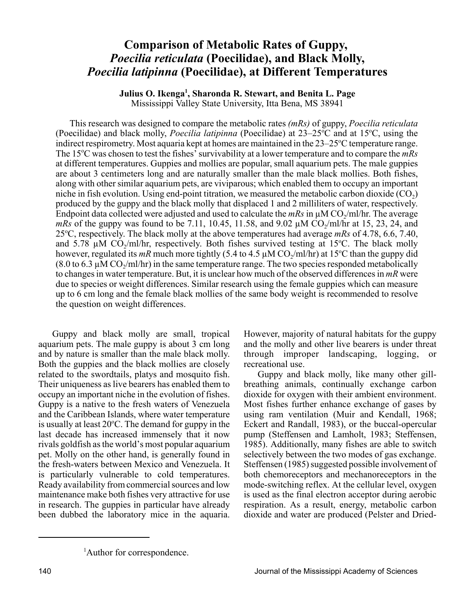### **Comparison of Metabolic Rates of Guppy,**  *Poecilia reticulata* **(Poecilidae), and Black Molly,** *Poecilia latipinna* **(Poecilidae), at Different Temperatures**

**Julius O. Ikenga1 , Sharonda R. Stewart, and Benita L. Page** Mississippi Valley State University, Itta Bena, MS 38941

This research was designed to compare the metabolic rates *(mRs)* of guppy, *Poecilia reticulata* (Poecilidae) and black molly, *Poecilia latipinna* (Poecilidae) at 23–25°C and at 15°C, using the indirect respirometry. Most aquaria kept at homes are maintained in the 23–25°C temperature range. The 15<sup>o</sup>C was chosen to test the fishes' survivability at a lower temperature and to compare the *mRs* at different temperatures. Guppies and mollies are popular, small aquarium pets. The male guppies are about 3 centimeters long and are naturally smaller than the male black mollies. Both fishes, along with other similar aquarium pets, are viviparous; which enabled them to occupy an important niche in fish evolution. Using end-point titration, we measured the metabolic carbon dioxide  $(CO<sub>2</sub>)$ produced by the guppy and the black molly that displaced 1 and 2 milliliters of water, respectively. Endpoint data collected were adjusted and used to calculate the  $mRs$  in  $\mu$ M CO<sub>2</sub>/ml/hr. The average *mRs* of the guppy was found to be 7.11, 10.45, 11.58, and 9.02  $\mu$ M CO<sub>2</sub>/ml/hr at 15, 23, 24, and 25°C, respectively. The black molly at the above temperatures had average *mRs* of 4.78, 6.6, 7.40, and 5.78  $\mu$ M CO<sub>2</sub>/ml/hr, respectively. Both fishes survived testing at 15°C. The black molly however, regulated its  $mR$  much more tightly (5.4 to 4.5  $\mu$ M CO<sub>2</sub>/ml/hr) at 15<sup>o</sup>C than the guppy did  $(8.0 \text{ to } 6.3 \text{ µM CO} / \text{ml/hr})$  in the same temperature range. The two species responded metabolically to changes in water temperature. But, it is unclear how much of the observed differences in *mR* were due to species or weight differences. Similar research using the female guppies which can measure up to 6 cm long and the female black mollies of the same body weight is recommended to resolve the question on weight differences.

Guppy and black molly are small, tropical aquarium pets. The male guppy is about 3 cm long and by nature is smaller than the male black molly. Both the guppies and the black mollies are closely related to the swordtails, platys and mosquito fish. Their uniqueness as live bearers has enabled them to occupy an important niche in the evolution of fishes. Guppy is a native to the fresh waters of Venezuela and the Caribbean Islands, where water temperature is usually at least  $20^{\circ}$ C. The demand for guppy in the last decade has increased immensely that it now rivals goldfish as the world's most popular aquarium pet. Molly on the other hand, is generally found in the fresh-waters between Mexico and Venezuela. It is particularly vulnerable to cold temperatures. Ready availability from commercial sources and low maintenance make both fishes very attractive for use in research. The guppies in particular have already been dubbed the laboratory mice in the aquaria. However, majority of natural habitats for the guppy and the molly and other live bearers is under threat through improper landscaping, logging, or recreational use.

Guppy and black molly, like many other gillbreathing animals, continually exchange carbon dioxide for oxygen with their ambient environment. Most fishes further enhance exchange of gases by using ram ventilation (Muir and Kendall, 1968; Eckert and Randall, 1983), or the buccal-opercular pump (Steffensen and Lamholt, 1983; Steffensen, 1985). Additionally, many fishes are able to switch selectively between the two modes of gas exchange. Steffensen (1985) suggested possible involvement of both chemoreceptors and mechanoreceptors in the mode-switching reflex. At the cellular level, oxygen is used as the final electron acceptor during aerobic respiration. As a result, energy, metabolic carbon dioxide and water are produced (Pelster and Dried-

<sup>&</sup>lt;sup>1</sup>Author for correspondence.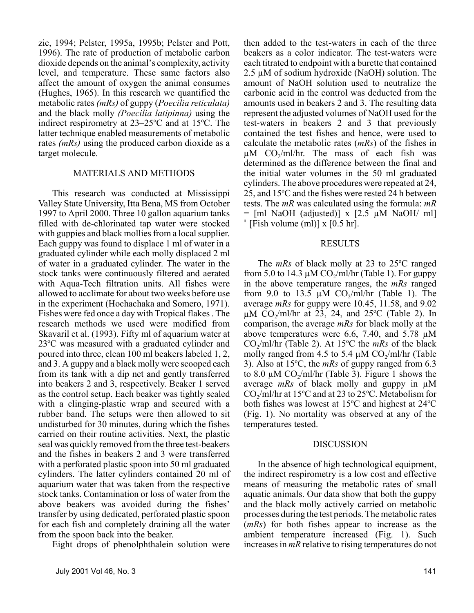zic, 1994; Pelster, 1995a, 1995b; Pelster and Pott, 1996). The rate of production of metabolic carbon dioxide depends on the animal's complexity, activity level, and temperature. These same factors also affect the amount of oxygen the animal consumes (Hughes, 1965). In this research we quantified the metabolic rates *(mRs)* of guppy (*Poecilia reticulata)* and the black molly *(Poecilia latipinna)* using the indirect respirometry at  $23-25^{\circ}$ C and at 15 $^{\circ}$ C. The latter technique enabled measurements of metabolic rates *(mRs)* using the produced carbon dioxide as a target molecule.

#### MATERIALS AND METHODS

This research was conducted at Mississippi Valley State University, Itta Bena, MS from October 1997 to April 2000. Three 10 gallon aquarium tanks filled with de-chlorinated tap water were stocked with guppies and black mollies from a local supplier. Each guppy was found to displace 1 ml of water in a graduated cylinder while each molly displaced 2 ml of water in a graduated cylinder. The water in the stock tanks were continuously filtered and aerated with Aqua-Tech filtration units. All fishes were allowed to acclimate for about two weeks before use in the experiment (Hochachaka and Somero, 1971). Fishes were fed once a day with Tropical flakes . The research methods we used were modified from Skavaril et al. (1993). Fifty ml of aquarium water at 23°C was measured with a graduated cylinder and poured into three, clean 100 ml beakers labeled 1, 2, and 3. A guppy and a black molly were scooped each from its tank with a dip net and gently transferred into beakers 2 and 3, respectively. Beaker 1 served as the control setup. Each beaker was tightly sealed with a clinging-plastic wrap and secured with a rubber band. The setups were then allowed to sit undisturbed for 30 minutes, during which the fishes carried on their routine activities. Next, the plastic seal was quickly removed from the three test-beakers and the fishes in beakers 2 and 3 were transferred with a perforated plastic spoon into 50 ml graduated cylinders. The latter cylinders contained 20 ml of aquarium water that was taken from the respective stock tanks. Contamination or loss of water from the above beakers was avoided during the fishes' transfer by using dedicated, perforated plastic spoon for each fish and completely draining all the water from the spoon back into the beaker.

Eight drops of phenolphthalein solution were

then added to the test-waters in each of the three beakers as a color indicator. The test-waters were each titrated to endpoint with a burette that contained 2.5 µM of sodium hydroxide (NaOH) solution. The amount of NaOH solution used to neutralize the carbonic acid in the control was deducted from the amounts used in beakers 2 and 3. The resulting data represent the adjusted volumes of NaOH used for the test-waters in beakers 2 and 3 that previously contained the test fishes and hence, were used to calculate the metabolic rates (*mRs*) of the fishes in  $\mu$ M CO<sub>2</sub>/ml/hr. The mass of each fish was determined as the difference between the final and the initial water volumes in the 50 ml graduated cylinders. The above procedures were repeated at 24,  $25$ , and  $15^{\circ}$ C and the fishes were rested  $24$  h between tests. The *mR* was calculated using the formula: *mR*  $=$  [ml NaOH (adjusted)] x [2.5  $\mu$ M NaOH/ ml] ' [Fish volume (ml)]  $x$  [0.5 hr].

#### RESULTS

The *mRs* of black molly at 23 to 25°C ranged from 5.0 to 14.3  $\mu$ M CO<sub>2</sub>/ml/hr (Table 1). For guppy in the above temperature ranges, the *mRs* ranged from 9.0 to 13.5  $\mu$ M CO<sub>2</sub>/ml/hr (Table 1). The average *mRs* for guppy were 10.45, 11.58, and 9.02  $\mu$ M CO<sub>2</sub>/ml/hr at 23, 24, and 25°C (Table 2). In comparison, the average *mRs* for black molly at the above temperatures were 6.6, 7.40, and 5.78 µM  $CO_2/ml/hr$  (Table 2). At 15<sup>o</sup>C the *mRs* of the black molly ranged from 4.5 to 5.4  $\mu$ M CO<sub>2</sub>/ml/hr (Table 3). Also at  $15^{\circ}$ C, the *mRs* of guppy ranged from 6.3 to 8.0  $\mu$ M CO<sub>2</sub>/ml/hr (Table 3). Figure 1 shows the average *mRs* of black molly and guppy in µM  $CO_2/ml/hr$  at 15°C and at 23 to 25°C. Metabolism for both fishes was lowest at  $15^{\circ}$ C and highest at  $24^{\circ}$ C (Fig. 1). No mortality was observed at any of the temperatures tested.

#### DISCUSSION

In the absence of high technological equipment, the indirect respirometry is a low cost and effective means of measuring the metabolic rates of small aquatic animals. Our data show that both the guppy and the black molly actively carried on metabolic processes during the test periods. The metabolic rates (*mRs*) for both fishes appear to increase as the ambient temperature increased (Fig. 1). Such increases in *mR* relative to rising temperatures do not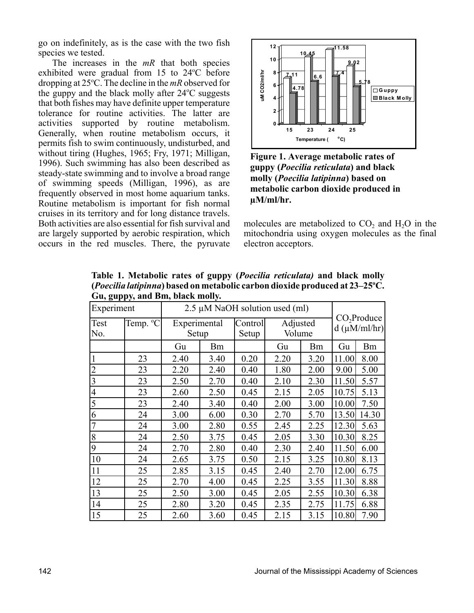go on indefinitely, as is the case with the two fish species we tested.

The increases in the *mR* that both species exhibited were gradual from 15 to  $24^{\circ}$ C before dropping at 25°C. The decline in the *mR* observed for the guppy and the black molly after 24°C suggests that both fishes may have definite upper temperature tolerance for routine activities. The latter are activities supported by routine metabolism. Generally, when routine metabolism occurs, it permits fish to swim continuously, undisturbed, and without tiring (Hughes, 1965; Fry, 1971; Milligan, 1996). Such swimming has also been described as steady-state swimming and to involve a broad range of swimming speeds (Milligan, 1996), as are frequently observed in most home aquarium tanks. Routine metabolism is important for fish normal cruises in its territory and for long distance travels. Both activities are also essential for fish survival and are largely supported by aerobic respiration, which occurs in the red muscles. There, the pyruvate



**Figure 1. Average metabolic rates of guppy (***Poecilia reticulata***) and black molly (***Poecilia latipinna***) based on metabolic carbon dioxide produced in µM/ml/hr.**

molecules are metabolized to  $CO<sub>2</sub>$  and  $H<sub>2</sub>O$  in the mitochondria using oxygen molecules as the final electron acceptors.

|                | Gu, guppy, апа вш, біаск шопу. |                                |           |                  |                    |           |       |                                                 |  |
|----------------|--------------------------------|--------------------------------|-----------|------------------|--------------------|-----------|-------|-------------------------------------------------|--|
| Experiment     |                                | 2.5 µM NaOH solution used (ml) |           |                  |                    |           |       |                                                 |  |
| Test<br>No.    | Temp. °C                       | Experimental<br>Setup          |           | Control<br>Setup | Adjusted<br>Volume |           |       | CO <sub>2</sub> Produce<br>$d$ ( $\mu$ M/ml/hr) |  |
|                |                                | Gu                             | <b>Bm</b> |                  | Gu                 | <b>Bm</b> | Gu    | <b>Bm</b>                                       |  |
|                | 23                             | 2.40                           | 3.40      | 0.20             | 2.20               | 3.20      | 11.00 | 8.00                                            |  |
| 2              | 23                             | 2.20                           | 2.40      | 0.40             | 1.80               | 2.00      | 9.00  | 5.00                                            |  |
| 3              | 23                             | 2.50                           | 2.70      | 0.40             | 2.10               | 2.30      | 11.50 | 5.57                                            |  |
| $\overline{4}$ | 23                             | 2.60                           | 2.50      | 0.45             | 2.15               | 2.05      | 10.75 | 5.13                                            |  |
| 5              | 23                             | 2.40                           | 3.40      | 0.40             | 2.00               | 3.00      | 10.00 | 7.50                                            |  |
| 6              | 24                             | 3.00                           | 6.00      | 0.30             | 2.70               | 5.70      | 13.50 | 14.30                                           |  |
| 7              | 24                             | 3.00                           | 2.80      | 0.55             | 2.45               | 2.25      | 12.30 | 5.63                                            |  |
| 8              | 24                             | 2.50                           | 3.75      | 0.45             | 2.05               | 3.30      | 10.30 | 8.25                                            |  |
| 9              | 24                             | 2.70                           | 2.80      | 0.40             | 2.30               | 2.40      | 11.50 | 6.00                                            |  |
| 10             | 24                             | 2.65                           | 3.75      | 0.50             | 2.15               | 3.25      | 10.80 | 8.13                                            |  |
| 11             | 25                             | 2.85                           | 3.15      | 0.45             | 2.40               | 2.70      | 12.00 | 6.75                                            |  |
| 12             | 25                             | 2.70                           | 4.00      | 0.45             | 2.25               | 3.55      | 11.30 | 8.88                                            |  |
| 13             | 25                             | 2.50                           | 3.00      | 0.45             | 2.05               | 2.55      | 10.30 | 6.38                                            |  |
| 14             | 25                             | 2.80                           | 3.20      | 0.45             | 2.35               | 2.75      | 11.75 | 6.88                                            |  |
| 15             | 25                             | 2.60                           | 3.60      | 0.45             | 2.15               | 3.15      | 10.80 | 7.90                                            |  |

**Table 1. Metabolic rates of guppy (***Poecilia reticulata)* **and black molly (***Poecilia latipinna***) based on metabolic carbon dioxide produced at 23–25o C.** nd Rm, black molly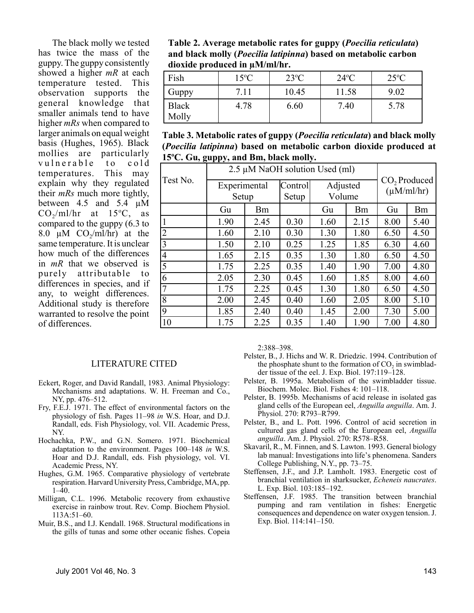| The black molly we tested                  |
|--------------------------------------------|
| has twice the mass of the                  |
| guppy. The guppy consistently              |
| showed a higher mR at each                 |
| temperature tested. This                   |
| observation supports the                   |
| general knowledge that                     |
| smaller animals tend to have               |
| higher <i>mRs</i> when compared to         |
| larger animals on equal weight             |
| basis (Hughes, 1965). Black                |
| mollies are particularly                   |
| vulnerable to cold                         |
| temperatures. This may                     |
| explain why they regulated                 |
| their <i>mRs</i> much more tightly,        |
| between $4.5$ and $5.4 \mu M$              |
| $CO_2/ml/hr$ at $15°C$ , as                |
| compared to the guppy (6.3 to              |
| 8.0 $\mu$ M CO <sub>2</sub> /ml/hr) at the |
| same temperature. It is unclear            |
| how much of the differences                |
| in <i>mR</i> that we observed is           |
| purely attributable to                     |
| differences in species, and if             |
| any, to weight differences.                |
| Additional study is therefore              |
| warranted to resolve the point             |
| of differences.                            |

| Table 2. Average metabolic rates for guppy ( <i>Poecilia reticulata</i> ) |
|---------------------------------------------------------------------------|
| and black molly ( <i>Poecilia latipinna</i> ) based on metabolic carbon   |
| dioxide produced in $\mu$ M/ml/hr.                                        |

| Fish           | $15^{\circ}$ C | $23^{\circ}$ C | $24^{\circ}$ C | $25^{\circ}$ C |
|----------------|----------------|----------------|----------------|----------------|
| Guppy          | 7.11           | 10.45          | 11.58          | 9.02           |
| Black<br>Molly | 4.78           | 6.60           | 7.40           | 5.78           |

**Table 3. Metabolic rates of guppy (***Poecilia reticulata***) and black molly (***Poecilia latipinna***) based on metabolic carbon dioxide produced at 15o C. Gu, guppy, and Bm, black molly.**

|                | 2.5 µM NaOH solution Used (ml) |      |                  |      |                    |      |                                             |  |
|----------------|--------------------------------|------|------------------|------|--------------------|------|---------------------------------------------|--|
| Test No.       | Experimental<br>Setup          |      | Control<br>Setup |      | Adjusted<br>Volume |      | CO <sub>2</sub> Produced<br>$(\mu M/ml/hr)$ |  |
|                | Gu                             | Bm   |                  | Gu   | <b>Bm</b>          | Gu   | <b>Bm</b>                                   |  |
|                | 1.90                           | 2.45 | 0.30             | 1.60 | 2.15               | 8.00 | 5.40                                        |  |
| $\overline{2}$ | 1.60                           | 2.10 | 0.30             | 1.30 | 1.80               | 6.50 | 4.50                                        |  |
| 3              | 1.50                           | 2.10 | 0.25             | 1.25 | 1.85               | 6.30 | 4.60                                        |  |
| 4              | 1.65                           | 2.15 | 0.35             | 1.30 | 1.80               | 6.50 | 4.50                                        |  |
| 5              | 1.75                           | 2.25 | 0.35             | 1.40 | 1.90               | 7.00 | 4.80                                        |  |
| 6              | 2.05                           | 2.30 | 0.45             | 1.60 | 1.85               | 8.00 | 4.60                                        |  |
| 7              | 1.75                           | 2.25 | 0.45             | 1.30 | 1.80               | 6.50 | 4.50                                        |  |
| 8              | 2.00                           | 2.45 | 0.40             | 1.60 | 2.05               | 8.00 | 5.10                                        |  |
| 9              | 1.85                           | 2.40 | 0.40             | 1.45 | 2.00               | 7.30 | 5.00                                        |  |
| 10             | 1.75                           | 2.25 | 0.35             | 1.40 | 1.90               | 7.00 | 4.80                                        |  |

#### LITERATURE CITED

- Eckert, Roger, and David Randall, 1983. Animal Physiology: Mechanisms and adaptations. W. H. Freeman and Co., NY, pp. 476–512.
- Fry, F.E.J. 1971. The effect of environmental factors on the physiology of fish. Pages 11–98 *in* W.S. Hoar, and D.J. Randall, eds. Fish Physiology, vol. VII. Academic Press, NY.
- Hochachka, P.W., and G.N. Somero. 1971. Biochemical adaptation to the environment. Pages 100–148 *in* W.S. Hoar and D.J. Randall, eds. Fish physiology, vol. VI. Academic Press, NY.
- Hughes, G.M. 1965. Comparative physiology of vertebrate respiration. Harvard University Press, Cambridge, MA, pp. 1–40.
- Milligan, C.L. 1996. Metabolic recovery from exhaustive exercise in rainbow trout. Rev. Comp. Biochem Physiol. 113A:51–60.
- Muir, B.S., and I.J. Kendall. 1968. Structural modifications in the gills of tunas and some other oceanic fishes. Copeia

2:388–398.

- Pelster, B., J. Hichs and W. R. Driedzic. 1994. Contribution of the phosphate shunt to the formation of  $CO<sub>2</sub>$  in swimbladder tissue of the eel. J. Exp. Biol. 197:119–128.
- Pelster, B. 1995a. Metabolism of the swimbladder tissue. Biochem. Molec. Biol. Fishes 4: 101–118.
- Pelster, B. 1995b. Mechanisms of acid release in isolated gas gland cells of the European eel, *Anguilla anguilla*. Am. J. Physiol. 270: R793–R799.
- Pelster, B., and L. Pott. 1996. Control of acid secretion in cultured gas gland cells of the European eel, *Anguilla anguilla*. Am. J. Physiol. 270: R578–R58.
- Skavaril, R., M. Finnen, and S. Lawton. 1993. General biology lab manual: Investigations into life's phenomena. Sanders College Publishing, N.Y., pp. 73–75.
- Steffensen, J.F., and J.P. Lamholt. 1983. Energetic cost of branchial ventilation in sharksucker, *Echeneis naucrates*. L. Exp. Biol. 103:185–192.
- Steffensen, J.F. 1985. The transition between branchial pumping and ram ventilation in fishes: Energetic consequences and dependence on water oxygen tension. J. Exp. Biol. 114:141–150.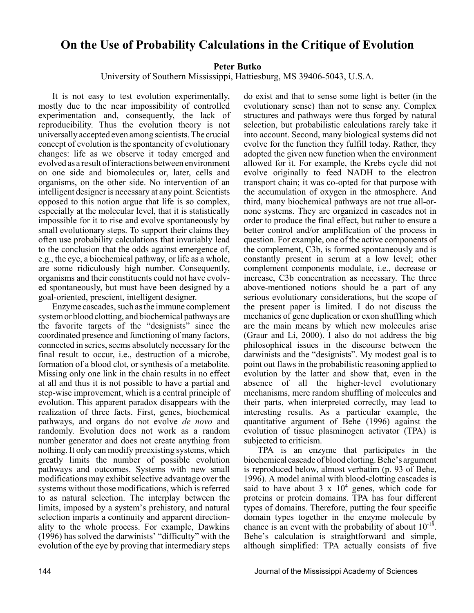### **On the Use of Probability Calculations in the Critique of Evolution**

#### **Peter Butko**

University of Southern Mississippi, Hattiesburg, MS 39406-5043, U.S.A.

It is not easy to test evolution experimentally, mostly due to the near impossibility of controlled experimentation and, consequently, the lack of reproducibility. Thus the evolution theory is not universally accepted even among scientists. The crucial concept of evolution is the spontaneity of evolutionary changes: life as we observe it today emerged and evolved as a result of interactions between environment on one side and biomolecules or, later, cells and organisms, on the other side. No intervention of an intelligent designer is necessary at any point. Scientists opposed to this notion argue that life is so complex, especially at the molecular level, that it is statistically impossible for it to rise and evolve spontaneously by small evolutionary steps. To support their claims they often use probability calculations that invariably lead to the conclusion that the odds against emergence of, e.g., the eye, a biochemical pathway, or life as a whole, are some ridiculously high number. Consequently, organisms and their constituents could not have evolved spontaneously, but must have been designed by a goal-oriented, prescient, intelligent designer.

Enzyme cascades, such as the immune complement system or blood clotting, and biochemical pathways are the favorite targets of the "designists" since the coordinated presence and functioning of many factors, connected in series, seems absolutely necessary for the final result to occur, i.e., destruction of a microbe, formation of a blood clot, or synthesis of a metabolite. Missing only one link in the chain results in no effect at all and thus it is not possible to have a partial and step-wise improvement, which is a central principle of evolution. This apparent paradox disappears with the realization of three facts. First, genes, biochemical pathways, and organs do not evolve *de novo* and randomly. Evolution does not work as a random number generator and does not create anything from nothing. It only can modify preexisting systems, which greatly limits the number of possible evolution pathways and outcomes. Systems with new small modifications may exhibit selective advantage over the systems without those modifications, which is referred to as natural selection. The interplay between the limits, imposed by a system's prehistory, and natural selection imparts a continuity and apparent directionality to the whole process. For example, Dawkins (1996) has solved the darwinists' "difficulty" with the evolution of the eye by proving that intermediary steps

do exist and that to sense some light is better (in the evolutionary sense) than not to sense any. Complex structures and pathways were thus forged by natural selection, but probabilistic calculations rarely take it into account. Second, many biological systems did not evolve for the function they fulfill today. Rather, they adopted the given new function when the environment allowed for it. For example, the Krebs cycle did not evolve originally to feed NADH to the electron transport chain; it was co-opted for that purpose with the accumulation of oxygen in the atmosphere. And third, many biochemical pathways are not true all-ornone systems. They are organized in cascades not in order to produce the final effect, but rather to ensure a better control and/or amplification of the process in question. For example, one of the active components of the complement, C3b, is formed spontaneously and is constantly present in serum at a low level; other complement components modulate, i.e., decrease or increase, C3b concentration as necessary. The three above-mentioned notions should be a part of any serious evolutionary considerations, but the scope of the present paper is limited. I do not discuss the mechanics of gene duplication or exon shuffling which are the main means by which new molecules arise (Graur and Li, 2000). I also do not address the big philosophical issues in the discourse between the darwinists and the "designists". My modest goal is to point out flaws in the probabilistic reasoning applied to evolution by the latter and show that, even in the absence of all the higher-level evolutionary mechanisms, mere random shuffling of molecules and their parts, when interpreted correctly, may lead to interesting results. As a particular example, the quantitative argument of Behe (1996) against the evolution of tissue plasminogen activator (TPA) is subjected to criticism.

TPA is an enzyme that participates in the biochemical cascade of blood clotting. Behe's argument is reproduced below, almost verbatim (p. 93 of Behe, 1996). A model animal with blood-clotting cascades is said to have about  $3 \times 10^4$  genes, which code for proteins or protein domains. TPA has four different types of domains. Therefore, putting the four specific domain types together in the enzyme molecule by chance is an event with the probability of about  $10^{-18}$ . Behe's calculation is straightforward and simple, although simplified: TPA actually consists of five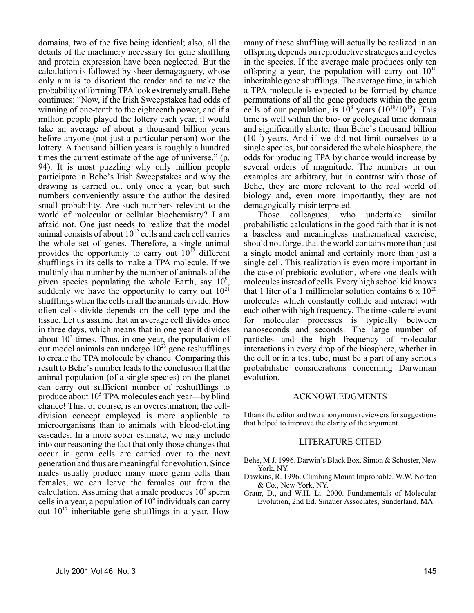domains, two of the five being identical; also, all the details of the machinery necessary for gene shuffling and protein expression have been neglected. But the calculation is followed by sheer demagoguery, whose only aim is to disorient the reader and to make the probability of forming TPA look extremely small. Behe continues: "Now, if the Irish Sweepstakes had odds of winning of one-tenth to the eighteenth power, and if a million people played the lottery each year, it would take an average of about a thousand billion years before anyone (not just a particular person) won the lottery. A thousand billion years is roughly a hundred times the current estimate of the age of universe." (p. 94). It is most puzzling why only million people participate in Behe's Irish Sweepstakes and why the drawing is carried out only once a year, but such numbers conveniently assure the author the desired small probability. Are such numbers relevant to the world of molecular or cellular biochemistry? I am afraid not. One just needs to realize that the model animal consists of about  $10^{12}$  cells and each cell carries the whole set of genes. Therefore, a single animal provides the opportunity to carry out  $10^{12}$  different shufflings in its cells to make a TPA molecule. If we multiply that number by the number of animals of the given species populating the whole Earth, say  $10^9$ , suddenly we have the opportunity to carry out  $10^{21}$ shufflings when the cells in all the animals divide. How often cells divide depends on the cell type and the tissue. Let us assume that an average cell divides once in three days, which means that in one year it divides about  $10<sup>2</sup>$  times. Thus, in one year, the population of our model animals can undergo  $10^{23}$  gene reshufflings to create the TPA molecule by chance. Comparing this result to Behe's number leads to the conclusion that the animal population (of a single species) on the planet can carry out sufficient number of reshufflings to produce about 10<sup>5</sup> TPA molecules each year—by blind chance! This, of course, is an overestimation; the celldivision concept employed is more applicable to microorganisms than to animals with blood-clotting cascades. In a more sober estimate, we may include into our reasoning the fact that only those changes that occur in germ cells are carried over to the next generation and thus are meaningful for evolution. Since males usually produce many more germ cells than females, we can leave the females out from the calculation. Assuming that a male produces  $10<sup>8</sup>$  sperm cells in a year, a population of  $10^9$  individuals can carry out  $10^{17}$  inheritable gene shufflings in a year. How

many of these shuffling will actually be realized in an offspring depends on reproductive strategies and cycles in the species. If the average male produces only ten offspring a year, the population will carry out  $10^{10}$ inheritable gene shufflings. The average time, in which a TPA molecule is expected to be formed by chance permutations of all the gene products within the germ cells of our population, is  $10^8$  years  $(10^{18}/10^{10})$ . This time is well within the bio- or geological time domain and significantly shorter than Behe's thousand billion  $(10^{12})$  years. And if we did not limit ourselves to a single species, but considered the whole biosphere, the odds for producing TPA by chance would increase by several orders of magnitude. The numbers in our examples are arbitrary, but in contrast with those of Behe, they are more relevant to the real world of biology and, even more importantly, they are not demagogically misinterpreted.

Those colleagues, who undertake similar probabilistic calculations in the good faith that it is not a baseless and meaningless mathematical exercise, should not forget that the world contains more than just a single model animal and certainly more than just a single cell. This realization is even more important in the case of prebiotic evolution, where one deals with molecules instead of cells. Every high school kid knows that 1 liter of a 1 millimolar solution contains  $6 \times 10^{20}$ molecules which constantly collide and interact with each other with high frequency. The time scale relevant for molecular processes is typically between nanoseconds and seconds. The large number of particles and the high frequency of molecular interactions in every drop of the biosphere, whether in the cell or in a test tube, must be a part of any serious probabilistic considerations concerning Darwinian evolution.

#### ACKNOWLEDGMENTS

I thank the editor and two anonymous reviewers for suggestions that helped to improve the clarity of the argument.

#### LITERATURE CITED

- Behe, M.J. 1996. Darwin's Black Box. Simon & Schuster, New York, NY.
- Dawkins, R. 1996. Climbing Mount Improbable. W.W. Norton & Co., New York, NY.
- Graur, D., and W.H. Li. 2000. Fundamentals of Molecular Evolution, 2nd Ed. Sinauer Associates, Sunderland, MA.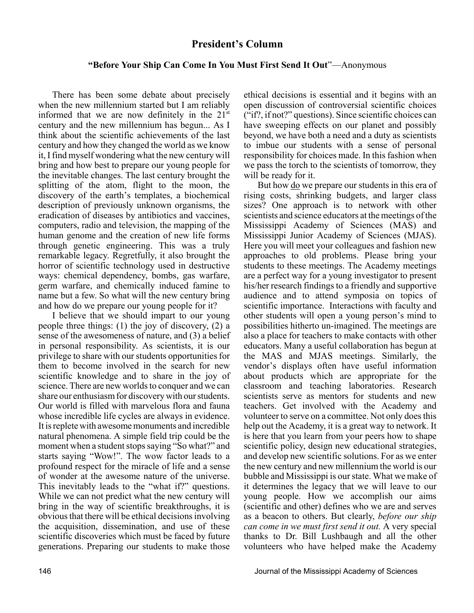### **President's Column**

#### **"Before Your Ship Can Come In You Must First Send It Out**"—Anonymous

There has been some debate about precisely when the new millennium started but I am reliably informed that we are now definitely in the 21st century and the new millennium has begun... As I think about the scientific achievements of the last century and how they changed the world as we know it, I find myself wondering what the new century will bring and how best to prepare our young people for the inevitable changes. The last century brought the splitting of the atom, flight to the moon, the discovery of the earth's templates, a biochemical description of previously unknown organisms, the eradication of diseases by antibiotics and vaccines, computers, radio and television, the mapping of the human genome and the creation of new life forms through genetic engineering. This was a truly remarkable legacy. Regretfully, it also brought the horror of scientific technology used in destructive ways: chemical dependency, bombs, gas warfare, germ warfare, and chemically induced famine to name but a few. So what will the new century bring and how do we prepare our young people for it?

I believe that we should impart to our young people three things: (1) the joy of discovery, (2) a sense of the awesomeness of nature, and (3) a belief in personal responsibility. As scientists, it is our privilege to share with our students opportunities for them to become involved in the search for new scientific knowledge and to share in the joy of science. There are new worlds to conquer and we can share our enthusiasm for discovery with our students. Our world is filled with marvelous flora and fauna whose incredible life cycles are always in evidence. It is replete with awesome monuments and incredible natural phenomena. A simple field trip could be the moment when a student stops saying "So what?" and starts saying "Wow!". The wow factor leads to a profound respect for the miracle of life and a sense of wonder at the awesome nature of the universe. This inevitably leads to the "what if?" questions. While we can not predict what the new century will bring in the way of scientific breakthroughs, it is obvious that there will be ethical decisions involving the acquisition, dissemination, and use of these scientific discoveries which must be faced by future generations. Preparing our students to make those

ethical decisions is essential and it begins with an open discussion of controversial scientific choices ("if?, if not?" questions). Since scientific choices can have sweeping effects on our planet and possibly beyond, we have both a need and a duty as scientists to imbue our students with a sense of personal responsibility for choices made. In this fashion when we pass the torch to the scientists of tomorrow, they will be ready for it.

But how do we prepare our students in this era of rising costs, shrinking budgets, and larger class sizes? One approach is to network with other scientists and science educators at the meetings of the Mississippi Academy of Sciences (MAS) and Mississippi Junior Academy of Sciences (MJAS). Here you will meet your colleagues and fashion new approaches to old problems. Please bring your students to these meetings. The Academy meetings are a perfect way for a young investigator to present his/her research findings to a friendly and supportive audience and to attend symposia on topics of scientific importance. Interactions with faculty and other students will open a young person's mind to possibilities hitherto un-imagined. The meetings are also a place for teachers to make contacts with other educators. Many a useful collaboration has begun at the MAS and MJAS meetings. Similarly, the vendor's displays often have useful information about products which are appropriate for the classroom and teaching laboratories. Research scientists serve as mentors for students and new teachers. Get involved with the Academy and volunteer to serve on a committee. Not only does this help out the Academy, it is a great way to network. It is here that you learn from your peers how to shape scientific policy, design new educational strategies, and develop new scientific solutions. For as we enter the new century and new millennium the world is our bubble and Mississippi is our state. What we make of it determines the legacy that we will leave to our young people. How we accomplish our aims (scientific and other) defines who we are and serves as a beacon to others. But clearly, *before our ship can come in we must first send it out.* A very special thanks to Dr. Bill Lushbaugh and all the other volunteers who have helped make the Academy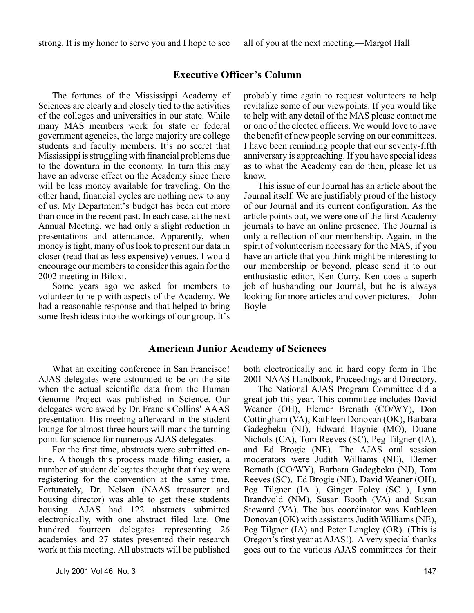#### **Executive Officer's Column**

The fortunes of the Mississippi Academy of Sciences are clearly and closely tied to the activities of the colleges and universities in our state. While many MAS members work for state or federal government agencies, the large majority are college students and faculty members. It's no secret that Mississippi is struggling with financial problems due to the downturn in the economy. In turn this may have an adverse effect on the Academy since there will be less money available for traveling. On the other hand, financial cycles are nothing new to any of us. My Department's budget has been cut more than once in the recent past. In each case, at the next Annual Meeting, we had only a slight reduction in presentations and attendance. Apparently, when money is tight, many of us look to present our data in closer (read that as less expensive) venues. I would encourage our members to consider this again for the 2002 meeting in Biloxi.

Some years ago we asked for members to volunteer to help with aspects of the Academy. We had a reasonable response and that helped to bring some fresh ideas into the workings of our group. It's probably time again to request volunteers to help revitalize some of our viewpoints. If you would like to help with any detail of the MAS please contact me or one of the elected officers. We would love to have the benefit of new people serving on our committees. I have been reminding people that our seventy-fifth anniversary is approaching. If you have special ideas as to what the Academy can do then, please let us know.

This issue of our Journal has an article about the Journal itself. We are justifiably proud of the history of our Journal and its current configuration. As the article points out, we were one of the first Academy journals to have an online presence. The Journal is only a reflection of our membership. Again, in the spirit of volunteerism necessary for the MAS, if you have an article that you think might be interesting to our membership or beyond, please send it to our enthusiastic editor, Ken Curry. Ken does a superb job of husbanding our Journal, but he is always looking for more articles and cover pictures.—John Boyle

#### **American Junior Academy of Sciences**

What an exciting conference in San Francisco! AJAS delegates were astounded to be on the site when the actual scientific data from the Human Genome Project was published in Science. Our delegates were awed by Dr. Francis Collins' AAAS presentation. His meeting afterward in the student lounge for almost three hours will mark the turning point for science for numerous AJAS delegates.

For the first time, abstracts were submitted online. Although this process made filing easier, a number of student delegates thought that they were registering for the convention at the same time. Fortunately, Dr. Nelson (NAAS treasurer and housing director) was able to get these students housing. AJAS had 122 abstracts submitted electronically, with one abstract filed late. One hundred fourteen delegates representing 26 academies and 27 states presented their research work at this meeting. All abstracts will be published both electronically and in hard copy form in The 2001 NAAS Handbook, Proceedings and Directory.

The National AJAS Program Committee did a great job this year. This committee includes David Weaner (OH), Elemer Brenath (CO/WY), Don Cottingham (VA), Kathleen Donovan (OK), Barbara Gadegbeku (NJ), Edward Haynie (MO), Duane Nichols (CA), Tom Reeves (SC), Peg Tilgner (IA), and Ed Brogie (NE). The AJAS oral session moderators were Judith Williams (NE), Elemer Bernath (CO/WY), Barbara Gadegbeku (NJ), Tom Reeves (SC), Ed Brogie (NE), David Weaner (OH), Peg Tilgner (IA ), Ginger Foley (SC ), Lynn Brandvold (NM), Susan Booth (VA) and Susan Steward (VA). The bus coordinator was Kathleen Donovan (OK) with assistants Judith Williams (NE), Peg Tilgner (IA) and Peter Langley (OR). (This is Oregon's first year at AJAS!). A very special thanks goes out to the various AJAS committees for their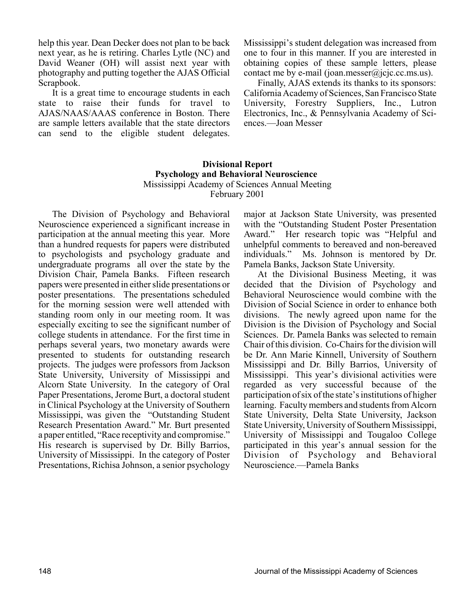help this year. Dean Decker does not plan to be back next year, as he is retiring. Charles Lytle (NC) and David Weaner (OH) will assist next year with photography and putting together the AJAS Official Scrapbook.

It is a great time to encourage students in each state to raise their funds for travel to AJAS/NAAS/AAAS conference in Boston. There are sample letters available that the state directors can send to the eligible student delegates.

Mississippi's student delegation was increased from one to four in this manner. If you are interested in obtaining copies of these sample letters, please contact me by e-mail (joan.messer@jcjc.cc.ms.us).

Finally, AJAS extends its thanks to its sponsors: California Academy of Sciences, San Francisco State University, Forestry Suppliers, Inc., Lutron Electronics, Inc., & Pennsylvania Academy of Sciences.—Joan Messer

#### **Divisional Report Psychology and Behavioral Neuroscience**  Mississippi Academy of Sciences Annual Meeting February 2001

The Division of Psychology and Behavioral Neuroscience experienced a significant increase in participation at the annual meeting this year. More than a hundred requests for papers were distributed to psychologists and psychology graduate and undergraduate programs all over the state by the Division Chair, Pamela Banks. Fifteen research papers were presented in either slide presentations or poster presentations. The presentations scheduled for the morning session were well attended with standing room only in our meeting room. It was especially exciting to see the significant number of college students in attendance. For the first time in perhaps several years, two monetary awards were presented to students for outstanding research projects. The judges were professors from Jackson State University, University of Mississippi and Alcorn State University. In the category of Oral Paper Presentations, Jerome Burt, a doctoral student in Clinical Psychology at the University of Southern Mississippi, was given the "Outstanding Student Research Presentation Award." Mr. Burt presented a paper entitled, "Race receptivity and compromise." His research is supervised by Dr. Billy Barrios, University of Mississippi. In the category of Poster Presentations, Richisa Johnson, a senior psychology

major at Jackson State University, was presented with the "Outstanding Student Poster Presentation Award." Her research topic was "Helpful and unhelpful comments to bereaved and non-bereaved individuals." Ms. Johnson is mentored by Dr. Pamela Banks, Jackson State University.

At the Divisional Business Meeting, it was decided that the Division of Psychology and Behavioral Neuroscience would combine with the Division of Social Science in order to enhance both divisions. The newly agreed upon name for the Division is the Division of Psychology and Social Sciences. Dr. Pamela Banks was selected to remain Chair of this division. Co-Chairs for the division will be Dr. Ann Marie Kinnell, University of Southern Mississippi and Dr. Billy Barrios, University of Mississippi. This year's divisional activities were regarded as very successful because of the participation of six of the state's institutions of higher learning. Faculty members and students from Alcorn State University, Delta State University, Jackson State University, University of Southern Mississippi, University of Mississippi and Tougaloo College participated in this year's annual session for the Division of Psychology and Behavioral Neuroscience.—Pamela Banks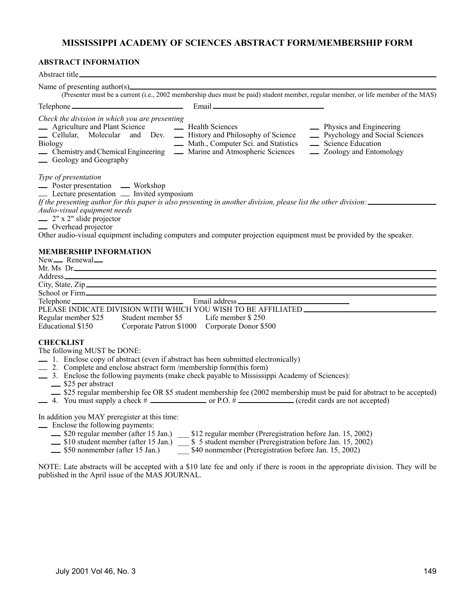### **MISSISSIPPI ACADEMY OF SCIENCES ABSTRACT FORM/MEMBERSHIP FORM**

#### **ABSTRACT INFORMATION**

| Abstract title_                                                                                                                                                                                                                                                                                                                                                                                                                                                            |
|----------------------------------------------------------------------------------------------------------------------------------------------------------------------------------------------------------------------------------------------------------------------------------------------------------------------------------------------------------------------------------------------------------------------------------------------------------------------------|
| (Presenter must be a current (i.e., 2002 membership dues must be paid) student member, regular member, or life member of the MAS)                                                                                                                                                                                                                                                                                                                                          |
|                                                                                                                                                                                                                                                                                                                                                                                                                                                                            |
| Check the division in which you are presenting<br>- Agriculture and Plant Science - Health Sciences<br>- Physics and Engineering<br>Cellular, Molecular and Dev. _ History and Philosophy of Science<br><b>Executive</b> Psychology and Social Sciences<br>- Math., Computer Sci. and Statistics<br>_ Science Education<br><b>Biology</b><br>- Chemistry and Chemical Engineering - Marine and Atmospheric Sciences<br>- Zoology and Entomology<br>- Geology and Geography |
| Type of presentation<br>Poster presentation __ Workshop<br>__ Lecture presentation __ Invited symposium<br>If the presenting author for this paper is also presenting in another division, please list the other division:<br>Audio-visual equipment needs<br>$\frac{1}{2}$ 2" x 2" slide projector<br>_ Overhead projector<br>Other audio-visual equipment including computers and computer projection equipment must be provided by the speaker.                         |
| <b>MEMBERSHIP INFORMATION</b>                                                                                                                                                                                                                                                                                                                                                                                                                                              |
| New <sub>—</sub> Renewal <sub>—</sub>                                                                                                                                                                                                                                                                                                                                                                                                                                      |
| Mr. Ms. Dr.                                                                                                                                                                                                                                                                                                                                                                                                                                                                |
|                                                                                                                                                                                                                                                                                                                                                                                                                                                                            |
|                                                                                                                                                                                                                                                                                                                                                                                                                                                                            |
| School or Firm.<br><u> 1989 - Johann Barn, amerikan bernama di sebagai bernama dan bernama di sebagai bernama dalam bernama dalam b</u>                                                                                                                                                                                                                                                                                                                                    |
|                                                                                                                                                                                                                                                                                                                                                                                                                                                                            |
| PLEASE INDICATE DIVISION WITH WHICH YOU WISH TO BE AFFILIATED __________________                                                                                                                                                                                                                                                                                                                                                                                           |
| Regular member \$25 Student member \$5 Life member \$250<br>Educational \$150 Corporate Patron \$1000 Corporate Donor \$5                                                                                                                                                                                                                                                                                                                                                  |
| Corporate Patron \$1000 Corporate Donor \$500                                                                                                                                                                                                                                                                                                                                                                                                                              |
| <b>CHECKLIST</b>                                                                                                                                                                                                                                                                                                                                                                                                                                                           |
| The following MUST be DONE:                                                                                                                                                                                                                                                                                                                                                                                                                                                |
| 1. Enclose copy of abstract (even if abstract has been submitted electronically)                                                                                                                                                                                                                                                                                                                                                                                           |
| 2. Complete and enclose abstract form /membership form(this form)                                                                                                                                                                                                                                                                                                                                                                                                          |
| - 3. Enclose the following payments (make check payable to Mississippi Academy of Sciences):                                                                                                                                                                                                                                                                                                                                                                               |
| - \$25 per abstract                                                                                                                                                                                                                                                                                                                                                                                                                                                        |
| \$25 regular membership fee OR \$5 student membership fee (2002 membership must be paid for abstract to be accepted)                                                                                                                                                                                                                                                                                                                                                       |
| In addition you MAY preregister at this time:                                                                                                                                                                                                                                                                                                                                                                                                                              |
| - Enclose the following payments:                                                                                                                                                                                                                                                                                                                                                                                                                                          |
| \$20 regular member (after 15 Jan.) \$12 regular member (Preregistration before Jan. 15, 2002)<br>\$10 student member (after 15 Jan.) \$5 student member (Preregistration before Jan. 15, 2002)                                                                                                                                                                                                                                                                            |
|                                                                                                                                                                                                                                                                                                                                                                                                                                                                            |
| \$40 nonmember (Preregistration before Jan. 15, 2002)<br>- \$50 nonmember (after 15 Jan.)                                                                                                                                                                                                                                                                                                                                                                                  |

NOTE: Late abstracts will be accepted with a \$10 late fee and only if there is room in the appropriate division. They will be published in the April issue of the MAS JOURNAL.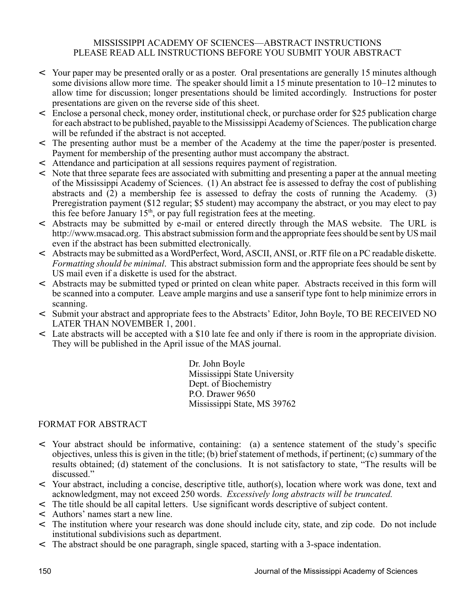#### MISSISSIPPI ACADEMY OF SCIENCES—ABSTRACT INSTRUCTIONS PLEASE READ ALL INSTRUCTIONS BEFORE YOU SUBMIT YOUR ABSTRACT

- < Your paper may be presented orally or as a poster. Oral presentations are generally 15 minutes although some divisions allow more time. The speaker should limit a 15 minute presentation to 10–12 minutes to allow time for discussion; longer presentations should be limited accordingly. Instructions for poster presentations are given on the reverse side of this sheet.
- < Enclose a personal check, money order, institutional check, or purchase order for \$25 publication charge for each abstract to be published, payable to the Mississippi Academy of Sciences. The publication charge will be refunded if the abstract is not accepted.
- < The presenting author must be a member of the Academy at the time the paper/poster is presented. Payment for membership of the presenting author must accompany the abstract.
- < Attendance and participation at all sessions requires payment of registration.
- < Note that three separate fees are associated with submitting and presenting a paper at the annual meeting of the Mississippi Academy of Sciences. (1) An abstract fee is assessed to defray the cost of publishing abstracts and (2) a membership fee is assessed to defray the costs of running the Academy. (3) Preregistration payment (\$12 regular; \$5 student) may accompany the abstract, or you may elect to pay this fee before January  $15<sup>th</sup>$ , or pay full registration fees at the meeting.
- < Abstracts may be submitted by e-mail or entered directly through the MAS website. The URL is http://www.msacad.org. This abstract submission form and the appropriate fees should be sent by US mail even if the abstract has been submitted electronically.
- < Abstracts may be submitted as a WordPerfect, Word, ASCII, ANSI, or .RTF file on a PC readable diskette. *Formatting should be minimal*. This abstract submission form and the appropriate fees should be sent by US mail even if a diskette is used for the abstract.
- < Abstracts may be submitted typed or printed on clean white paper. Abstracts received in this form will be scanned into a computer. Leave ample margins and use a sanserif type font to help minimize errors in scanning.
- < Submit your abstract and appropriate fees to the Abstracts' Editor, John Boyle, TO BE RECEIVED NO LATER THAN NOVEMBER 1, 2001.
- < Late abstracts will be accepted with a \$10 late fee and only if there is room in the appropriate division. They will be published in the April issue of the MAS journal.

Dr. John Boyle Mississippi State University Dept. of Biochemistry P.O. Drawer 9650 Mississippi State, MS 39762

### FORMAT FOR ABSTRACT

- < Your abstract should be informative, containing: (a) a sentence statement of the study's specific objectives, unless this is given in the title; (b) brief statement of methods, if pertinent; (c) summary of the results obtained; (d) statement of the conclusions. It is not satisfactory to state, "The results will be discussed."
- < Your abstract, including a concise, descriptive title, author(s), location where work was done, text and acknowledgment, may not exceed 250 words. *Excessively long abstracts will be truncated.*
- < The title should be all capital letters. Use significant words descriptive of subject content.
- < Authors' names start a new line.
- < The institution where your research was done should include city, state, and zip code. Do not include institutional subdivisions such as department.
- < The abstract should be one paragraph, single spaced, starting with a 3-space indentation.